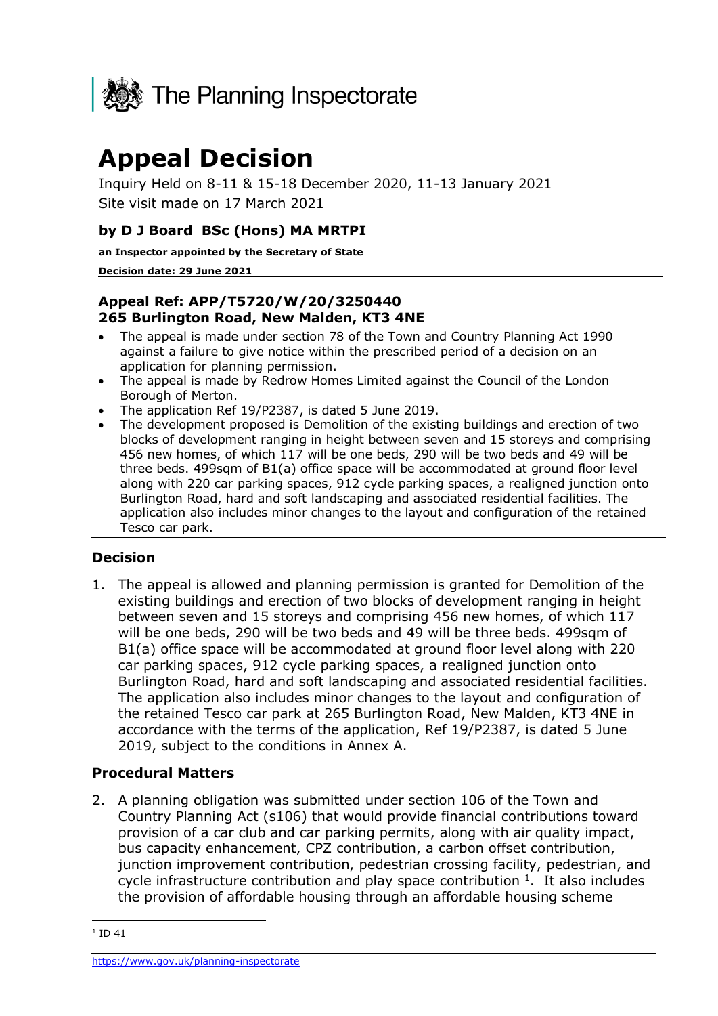

# **Appeal Decision**

Inquiry Held on 8-11 & 15-18 December 2020, 11-13 January 2021 Site visit made on 17 March 2021

## **by D J Board BSc (Hons) MA MRTPI**

**an Inspector appointed by the Secretary of State** 

#### **Decision date: 29 June 2021**

### **Appeal Ref: APP/T5720/W/20/3250440 265 Burlington Road, New Malden, KT3 4NE**

- The appeal is made under section 78 of the Town and Country Planning Act 1990 against a failure to give notice within the prescribed period of a decision on an application for planning permission.
- The appeal is made by Redrow Homes Limited against the Council of the London Borough of Merton.
- The application Ref 19/P2387, is dated 5 June 2019.
- The development proposed is Demolition of the existing buildings and erection of two blocks of development ranging in height between seven and 15 storeys and comprising 456 new homes, of which 117 will be one beds, 290 will be two beds and 49 will be three beds. 499sqm of B1(a) office space will be accommodated at ground floor level along with 220 car parking spaces, 912 cycle parking spaces, a realigned junction onto Burlington Road, hard and soft landscaping and associated residential facilities. The application also includes minor changes to the layout and configuration of the retained Tesco car park.

## **Decision**

1. The appeal is allowed and planning permission is granted for Demolition of the existing buildings and erection of two blocks of development ranging in height between seven and 15 storeys and comprising 456 new homes, of which 117 will be one beds, 290 will be two beds and 49 will be three beds. 499sqm of B1(a) office space will be accommodated at ground floor level along with 220 car parking spaces, 912 cycle parking spaces, a realigned junction onto Burlington Road, hard and soft landscaping and associated residential facilities. The application also includes minor changes to the layout and configuration of the retained Tesco car park at 265 Burlington Road, New Malden, KT3 4NE in accordance with the terms of the application, Ref 19/P2387, is dated 5 June 2019, subject to the conditions in Annex A.

#### **Procedural Matters**

2. A planning obligation was submitted under section 106 of the Town and Country Planning Act (s106) that would provide financial contributions toward provision of a car club and car parking permits, along with air quality impact, bus capacity enhancement, CPZ contribution, a carbon offset contribution, junction improvement contribution, pedestrian crossing facility, pedestrian, and cycle infrastructure contribution and play space contribution  $1$ . It also includes the provision of affordable housing through an affordable housing scheme

 $1$  ID 41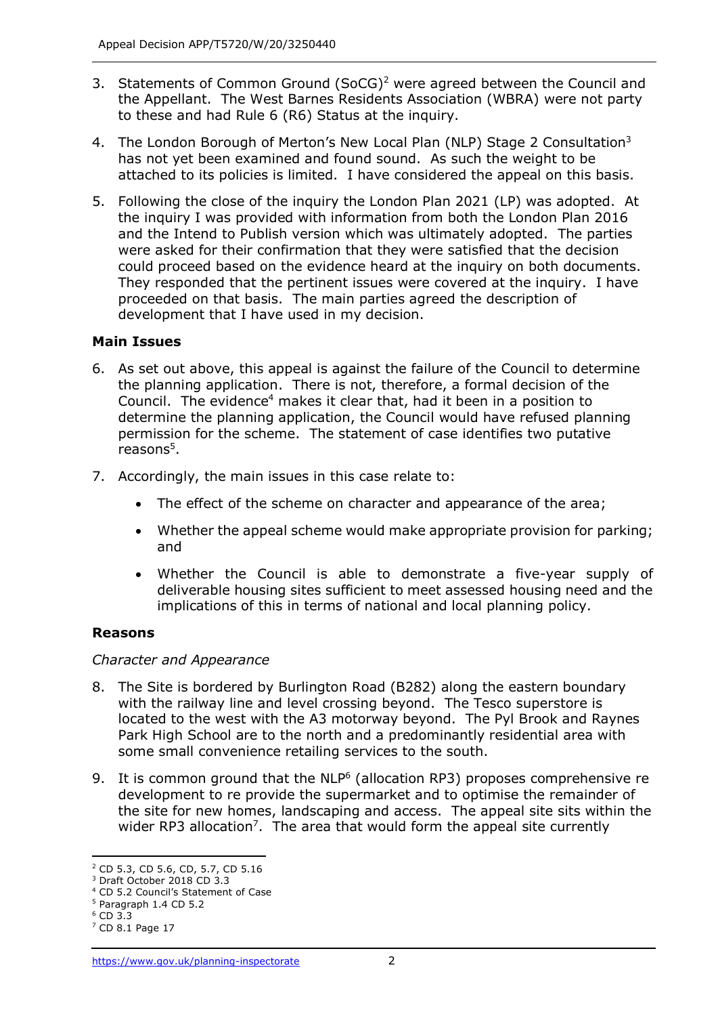- 3. Statements of Common Ground (SoCG)<sup>2</sup> were agreed between the Council and the Appellant. The West Barnes Residents Association (WBRA) were not party to these and had Rule 6 (R6) Status at the inquiry.
- 4. The London Borough of Merton's New Local Plan (NLP) Stage 2 Consultation<sup>3</sup> has not yet been examined and found sound. As such the weight to be attached to its policies is limited. I have considered the appeal on this basis.
- 5. Following the close of the inquiry the London Plan 2021 (LP) was adopted. At the inquiry I was provided with information from both the London Plan 2016 and the Intend to Publish version which was ultimately adopted. The parties were asked for their confirmation that they were satisfied that the decision could proceed based on the evidence heard at the inquiry on both documents. They responded that the pertinent issues were covered at the inquiry. I have proceeded on that basis. The main parties agreed the description of development that I have used in my decision.

#### **Main Issues**

- 6. As set out above, this appeal is against the failure of the Council to determine the planning application. There is not, therefore, a formal decision of the Council. The evidence<sup>4</sup> makes it clear that, had it been in a position to determine the planning application, the Council would have refused planning permission for the scheme. The statement of case identifies two putative reasons<sup>5</sup>.
- 7. Accordingly, the main issues in this case relate to:
	- The effect of the scheme on character and appearance of the area;
	- Whether the appeal scheme would make appropriate provision for parking; and
	- Whether the Council is able to demonstrate a five-year supply of deliverable housing sites sufficient to meet assessed housing need and the implications of this in terms of national and local planning policy.

## **Reasons**

#### *Character and Appearance*

- 8. The Site is bordered by Burlington Road (B282) along the eastern boundary with the railway line and level crossing beyond. The Tesco superstore is located to the west with the A3 motorway beyond. The Pyl Brook and Raynes Park High School are to the north and a predominantly residential area with some small convenience retailing services to the south.
- 9. It is common ground that the  $NLP<sup>6</sup>$  (allocation RP3) proposes comprehensive re development to re provide the supermarket and to optimise the remainder of the site for new homes, landscaping and access. The appeal site sits within the wider RP3 allocation<sup>7</sup>. The area that would form the appeal site currently

<sup>2</sup> CD 5.3, CD 5.6, CD, 5.7, CD 5.16

<sup>3</sup> Draft October 2018 CD 3.3

<sup>4</sup> CD 5.2 Council's Statement of Case

<sup>5</sup> Paragraph 1.4 CD 5.2

<sup>6</sup> CD 3.3

<sup>7</sup> CD 8.1 Page 17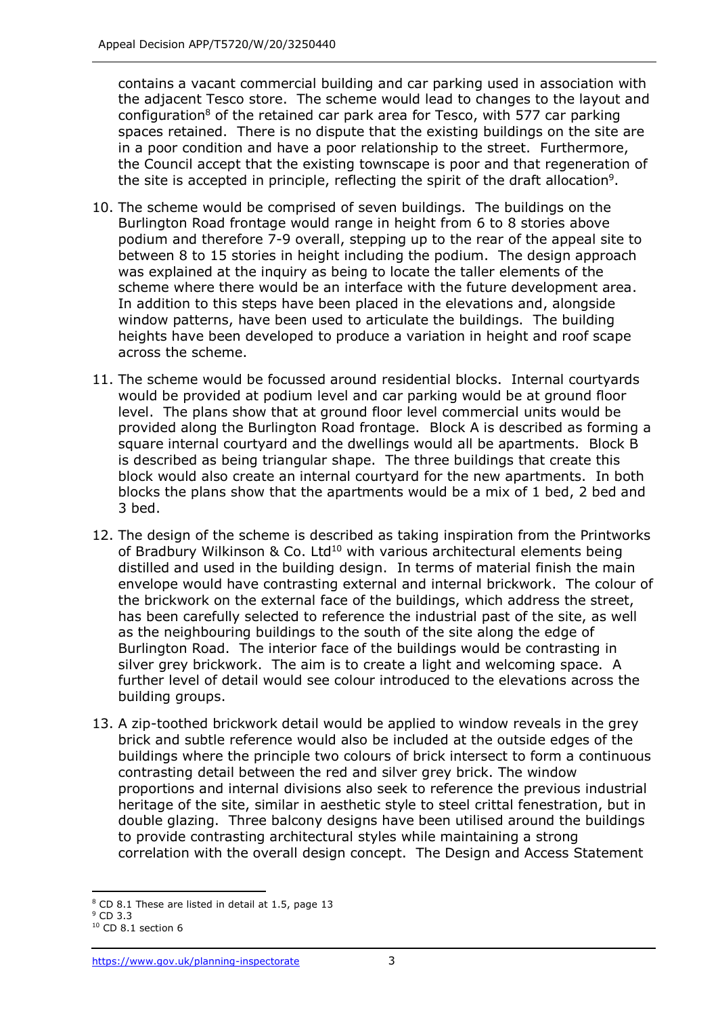contains a vacant commercial building and car parking used in association with the adjacent Tesco store. The scheme would lead to changes to the layout and configuration<sup>8</sup> of the retained car park area for Tesco, with 577 car parking spaces retained. There is no dispute that the existing buildings on the site are in a poor condition and have a poor relationship to the street. Furthermore, the Council accept that the existing townscape is poor and that regeneration of the site is accepted in principle, reflecting the spirit of the draft allocation<sup>9</sup>.

- 10. The scheme would be comprised of seven buildings. The buildings on the Burlington Road frontage would range in height from 6 to 8 stories above podium and therefore 7-9 overall, stepping up to the rear of the appeal site to between 8 to 15 stories in height including the podium. The design approach was explained at the inquiry as being to locate the taller elements of the scheme where there would be an interface with the future development area. In addition to this steps have been placed in the elevations and, alongside window patterns, have been used to articulate the buildings. The building heights have been developed to produce a variation in height and roof scape across the scheme.
- 11. The scheme would be focussed around residential blocks. Internal courtyards would be provided at podium level and car parking would be at ground floor level. The plans show that at ground floor level commercial units would be provided along the Burlington Road frontage. Block A is described as forming a square internal courtyard and the dwellings would all be apartments. Block B is described as being triangular shape. The three buildings that create this block would also create an internal courtyard for the new apartments. In both blocks the plans show that the apartments would be a mix of 1 bed, 2 bed and 3 bed.
- 12. The design of the scheme is described as taking inspiration from the Printworks of Bradbury Wilkinson & Co. Ltd<sup>10</sup> with various architectural elements being distilled and used in the building design. In terms of material finish the main envelope would have contrasting external and internal brickwork. The colour of the brickwork on the external face of the buildings, which address the street, has been carefully selected to reference the industrial past of the site, as well as the neighbouring buildings to the south of the site along the edge of Burlington Road. The interior face of the buildings would be contrasting in silver grey brickwork. The aim is to create a light and welcoming space. A further level of detail would see colour introduced to the elevations across the building groups.
- 13. A zip-toothed brickwork detail would be applied to window reveals in the grey brick and subtle reference would also be included at the outside edges of the buildings where the principle two colours of brick intersect to form a continuous contrasting detail between the red and silver grey brick. The window proportions and internal divisions also seek to reference the previous industrial heritage of the site, similar in aesthetic style to steel crittal fenestration, but in double glazing. Three balcony designs have been utilised around the buildings to provide contrasting architectural styles while maintaining a strong correlation with the overall design concept. The Design and Access Statement

<sup>8</sup> CD 8.1 These are listed in detail at 1.5, page 13

<sup>9</sup> CD 3.3

 $10$  CD 8.1 section 6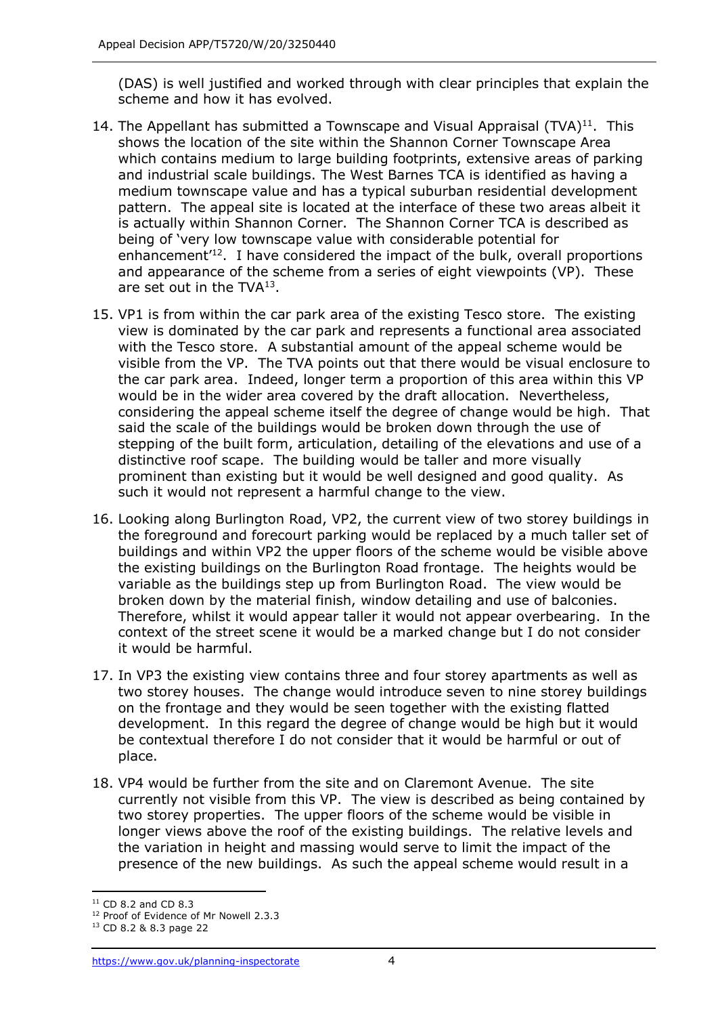(DAS) is well justified and worked through with clear principles that explain the scheme and how it has evolved.

- 14. The Appellant has submitted a Townscape and Visual Appraisal  $(TVA)^{11}$ . This shows the location of the site within the Shannon Corner Townscape Area which contains medium to large building footprints, extensive areas of parking and industrial scale buildings. The West Barnes TCA is identified as having a medium townscape value and has a typical suburban residential development pattern. The appeal site is located at the interface of these two areas albeit it is actually within Shannon Corner. The Shannon Corner TCA is described as being of 'very low townscape value with considerable potential for enhancement<sup>'12</sup>. I have considered the impact of the bulk, overall proportions and appearance of the scheme from a series of eight viewpoints (VP). These are set out in the TVA<sup>13</sup>.
- 15. VP1 is from within the car park area of the existing Tesco store. The existing view is dominated by the car park and represents a functional area associated with the Tesco store. A substantial amount of the appeal scheme would be visible from the VP. The TVA points out that there would be visual enclosure to the car park area. Indeed, longer term a proportion of this area within this VP would be in the wider area covered by the draft allocation. Nevertheless, considering the appeal scheme itself the degree of change would be high. That said the scale of the buildings would be broken down through the use of stepping of the built form, articulation, detailing of the elevations and use of a distinctive roof scape. The building would be taller and more visually prominent than existing but it would be well designed and good quality. As such it would not represent a harmful change to the view.
- 16. Looking along Burlington Road, VP2, the current view of two storey buildings in the foreground and forecourt parking would be replaced by a much taller set of buildings and within VP2 the upper floors of the scheme would be visible above the existing buildings on the Burlington Road frontage. The heights would be variable as the buildings step up from Burlington Road. The view would be broken down by the material finish, window detailing and use of balconies. Therefore, whilst it would appear taller it would not appear overbearing. In the context of the street scene it would be a marked change but I do not consider it would be harmful.
- 17. In VP3 the existing view contains three and four storey apartments as well as two storey houses. The change would introduce seven to nine storey buildings on the frontage and they would be seen together with the existing flatted development. In this regard the degree of change would be high but it would be contextual therefore I do not consider that it would be harmful or out of place.
- 18. VP4 would be further from the site and on Claremont Avenue. The site currently not visible from this VP. The view is described as being contained by two storey properties. The upper floors of the scheme would be visible in longer views above the roof of the existing buildings. The relative levels and the variation in height and massing would serve to limit the impact of the presence of the new buildings. As such the appeal scheme would result in a

<sup>11</sup> CD 8.2 and CD 8.3

<sup>&</sup>lt;sup>12</sup> Proof of Evidence of Mr Nowell 2.3.3

<sup>13</sup> CD 8.2 & 8.3 page 22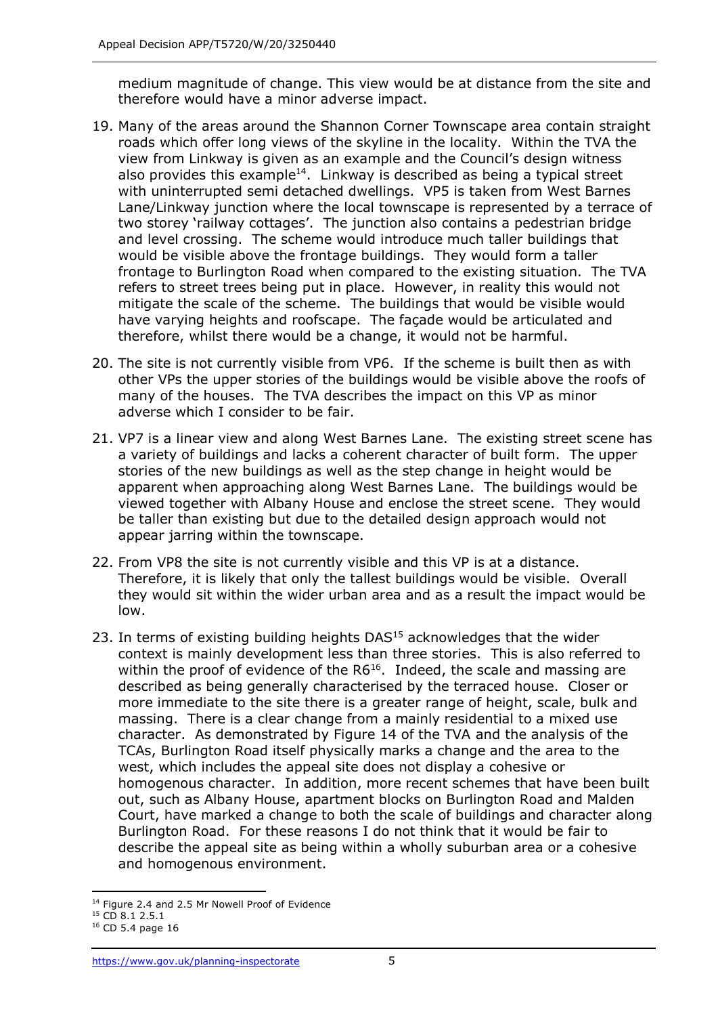medium magnitude of change. This view would be at distance from the site and therefore would have a minor adverse impact.

- 19. Many of the areas around the Shannon Corner Townscape area contain straight roads which offer long views of the skyline in the locality. Within the TVA the view from Linkway is given as an example and the Council's design witness also provides this example<sup>14</sup>. Linkway is described as being a typical street with uninterrupted semi detached dwellings. VP5 is taken from West Barnes Lane/Linkway junction where the local townscape is represented by a terrace of two storey 'railway cottages'. The junction also contains a pedestrian bridge and level crossing. The scheme would introduce much taller buildings that would be visible above the frontage buildings. They would form a taller frontage to Burlington Road when compared to the existing situation. The TVA refers to street trees being put in place. However, in reality this would not mitigate the scale of the scheme. The buildings that would be visible would have varying heights and roofscape. The façade would be articulated and therefore, whilst there would be a change, it would not be harmful.
- 20. The site is not currently visible from VP6. If the scheme is built then as with other VPs the upper stories of the buildings would be visible above the roofs of many of the houses. The TVA describes the impact on this VP as minor adverse which I consider to be fair.
- 21. VP7 is a linear view and along West Barnes Lane. The existing street scene has a variety of buildings and lacks a coherent character of built form. The upper stories of the new buildings as well as the step change in height would be apparent when approaching along West Barnes Lane. The buildings would be viewed together with Albany House and enclose the street scene. They would be taller than existing but due to the detailed design approach would not appear jarring within the townscape.
- 22. From VP8 the site is not currently visible and this VP is at a distance. Therefore, it is likely that only the tallest buildings would be visible. Overall they would sit within the wider urban area and as a result the impact would be low.
- 23. In terms of existing building heights DAS<sup>15</sup> acknowledges that the wider context is mainly development less than three stories. This is also referred to within the proof of evidence of the  $R6^{16}$ . Indeed, the scale and massing are described as being generally characterised by the terraced house. Closer or more immediate to the site there is a greater range of height, scale, bulk and massing. There is a clear change from a mainly residential to a mixed use character. As demonstrated by Figure 14 of the TVA and the analysis of the TCAs, Burlington Road itself physically marks a change and the area to the west, which includes the appeal site does not display a cohesive or homogenous character. In addition, more recent schemes that have been built out, such as Albany House, apartment blocks on Burlington Road and Malden Court, have marked a change to both the scale of buildings and character along Burlington Road. For these reasons I do not think that it would be fair to describe the appeal site as being within a wholly suburban area or a cohesive and homogenous environment.

<sup>&</sup>lt;sup>14</sup> Figure 2.4 and 2.5 Mr Nowell Proof of Evidence

 $15$  CD 8.1 2.5.1

 $16$  CD 5.4 page 16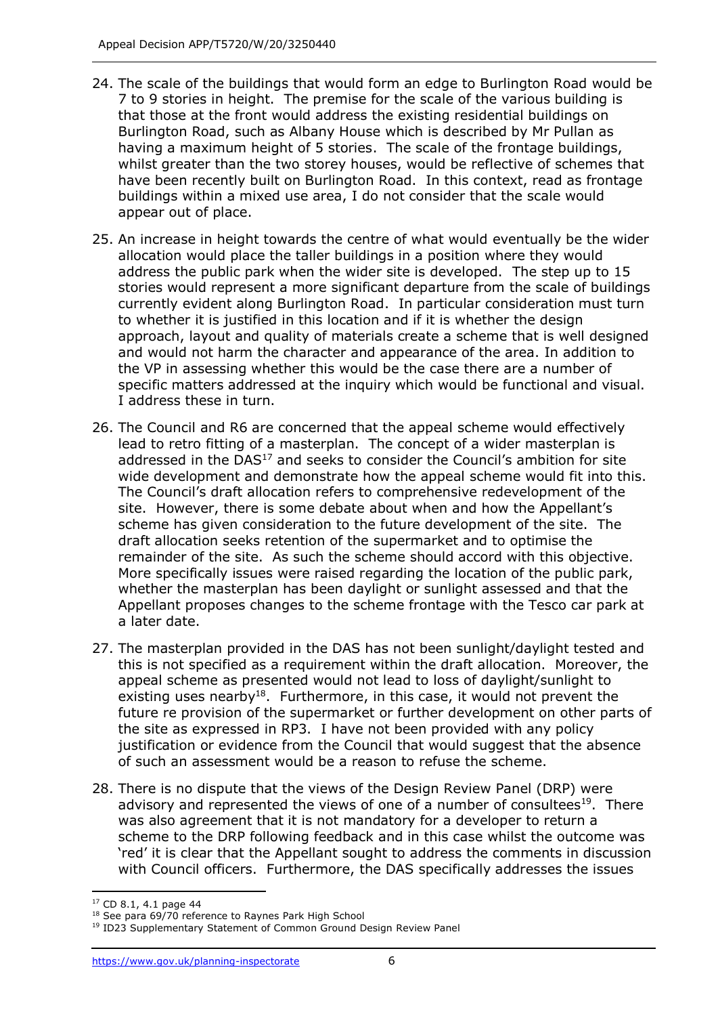- 24. The scale of the buildings that would form an edge to Burlington Road would be 7 to 9 stories in height. The premise for the scale of the various building is that those at the front would address the existing residential buildings on Burlington Road, such as Albany House which is described by Mr Pullan as having a maximum height of 5 stories. The scale of the frontage buildings, whilst greater than the two storey houses, would be reflective of schemes that have been recently built on Burlington Road. In this context, read as frontage buildings within a mixed use area, I do not consider that the scale would appear out of place.
- 25. An increase in height towards the centre of what would eventually be the wider allocation would place the taller buildings in a position where they would address the public park when the wider site is developed. The step up to 15 stories would represent a more significant departure from the scale of buildings currently evident along Burlington Road. In particular consideration must turn to whether it is justified in this location and if it is whether the design approach, layout and quality of materials create a scheme that is well designed and would not harm the character and appearance of the area. In addition to the VP in assessing whether this would be the case there are a number of specific matters addressed at the inquiry which would be functional and visual. I address these in turn.
- 26. The Council and R6 are concerned that the appeal scheme would effectively lead to retro fitting of a masterplan. The concept of a wider masterplan is addressed in the  $DAS<sup>17</sup>$  and seeks to consider the Council's ambition for site wide development and demonstrate how the appeal scheme would fit into this. The Council's draft allocation refers to comprehensive redevelopment of the site. However, there is some debate about when and how the Appellant's scheme has given consideration to the future development of the site. The draft allocation seeks retention of the supermarket and to optimise the remainder of the site. As such the scheme should accord with this objective. More specifically issues were raised regarding the location of the public park, whether the masterplan has been daylight or sunlight assessed and that the Appellant proposes changes to the scheme frontage with the Tesco car park at a later date.
- 27. The masterplan provided in the DAS has not been sunlight/daylight tested and this is not specified as a requirement within the draft allocation. Moreover, the appeal scheme as presented would not lead to loss of daylight/sunlight to existing uses nearby<sup>18</sup>. Furthermore, in this case, it would not prevent the future re provision of the supermarket or further development on other parts of the site as expressed in RP3. I have not been provided with any policy justification or evidence from the Council that would suggest that the absence of such an assessment would be a reason to refuse the scheme.
- 28. There is no dispute that the views of the Design Review Panel (DRP) were advisory and represented the views of one of a number of consultees<sup>19</sup>. There was also agreement that it is not mandatory for a developer to return a scheme to the DRP following feedback and in this case whilst the outcome was 'red' it is clear that the Appellant sought to address the comments in discussion with Council officers. Furthermore, the DAS specifically addresses the issues

<sup>17</sup> CD 8.1, 4.1 page 44

<sup>&</sup>lt;sup>18</sup> See para 69/70 reference to Raynes Park High School

<sup>&</sup>lt;sup>19</sup> ID23 Supplementary Statement of Common Ground Design Review Panel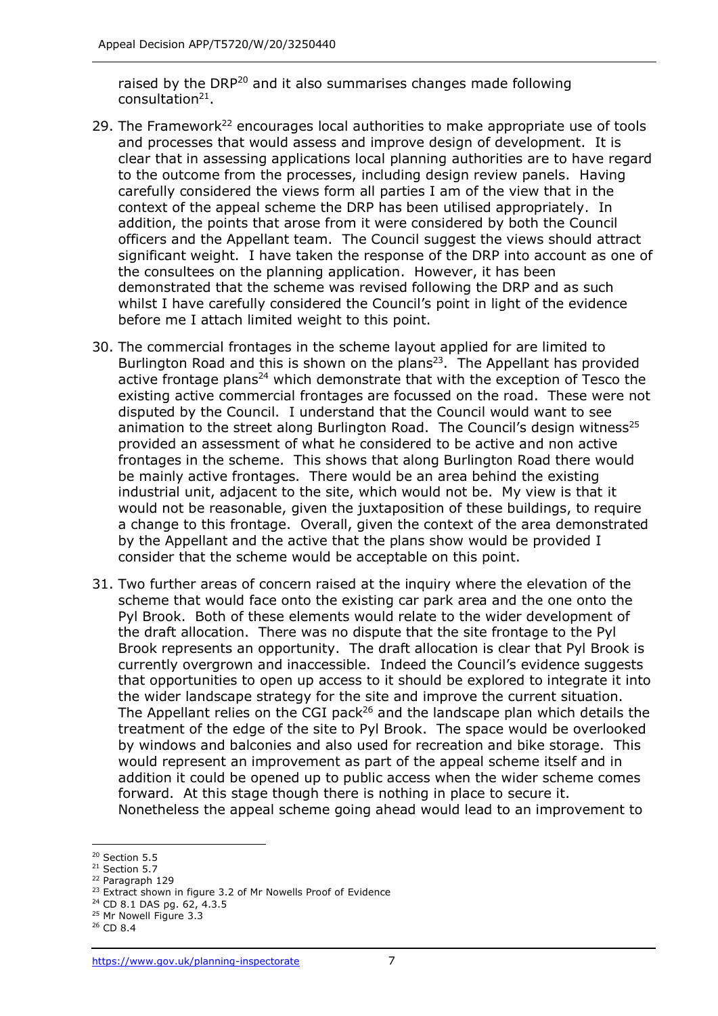raised by the DRP<sup>20</sup> and it also summarises changes made following consultation<sup>21</sup>.

- 29. The Framework<sup>22</sup> encourages local authorities to make appropriate use of tools and processes that would assess and improve design of development. It is clear that in assessing applications local planning authorities are to have regard to the outcome from the processes, including design review panels. Having carefully considered the views form all parties I am of the view that in the context of the appeal scheme the DRP has been utilised appropriately. In addition, the points that arose from it were considered by both the Council officers and the Appellant team. The Council suggest the views should attract significant weight. I have taken the response of the DRP into account as one of the consultees on the planning application. However, it has been demonstrated that the scheme was revised following the DRP and as such whilst I have carefully considered the Council's point in light of the evidence before me I attach limited weight to this point.
- 30. The commercial frontages in the scheme layout applied for are limited to Burlington Road and this is shown on the plans<sup>23</sup>. The Appellant has provided active frontage plans<sup>24</sup> which demonstrate that with the exception of Tesco the existing active commercial frontages are focussed on the road. These were not disputed by the Council. I understand that the Council would want to see animation to the street along Burlington Road. The Council's design witness<sup>25</sup> provided an assessment of what he considered to be active and non active frontages in the scheme. This shows that along Burlington Road there would be mainly active frontages. There would be an area behind the existing industrial unit, adjacent to the site, which would not be. My view is that it would not be reasonable, given the juxtaposition of these buildings, to require a change to this frontage. Overall, given the context of the area demonstrated by the Appellant and the active that the plans show would be provided I consider that the scheme would be acceptable on this point.
- 31. Two further areas of concern raised at the inquiry where the elevation of the scheme that would face onto the existing car park area and the one onto the Pyl Brook. Both of these elements would relate to the wider development of the draft allocation. There was no dispute that the site frontage to the Pyl Brook represents an opportunity. The draft allocation is clear that Pyl Brook is currently overgrown and inaccessible. Indeed the Council's evidence suggests that opportunities to open up access to it should be explored to integrate it into the wider landscape strategy for the site and improve the current situation. The Appellant relies on the CGI pack<sup>26</sup> and the landscape plan which details the treatment of the edge of the site to Pyl Brook. The space would be overlooked by windows and balconies and also used for recreation and bike storage. This would represent an improvement as part of the appeal scheme itself and in addition it could be opened up to public access when the wider scheme comes forward. At this stage though there is nothing in place to secure it. Nonetheless the appeal scheme going ahead would lead to an improvement to

<sup>&</sup>lt;sup>20</sup> Section 5.5

<sup>21</sup> Section 5.7

<sup>22</sup> Paragraph 129

<sup>&</sup>lt;sup>23</sup> Extract shown in figure 3.2 of Mr Nowells Proof of Evidence

<sup>24</sup> CD 8.1 DAS pg. 62, 4.3.5

<sup>&</sup>lt;sup>25</sup> Mr Nowell Figure 3.3

<sup>26</sup> CD 8.4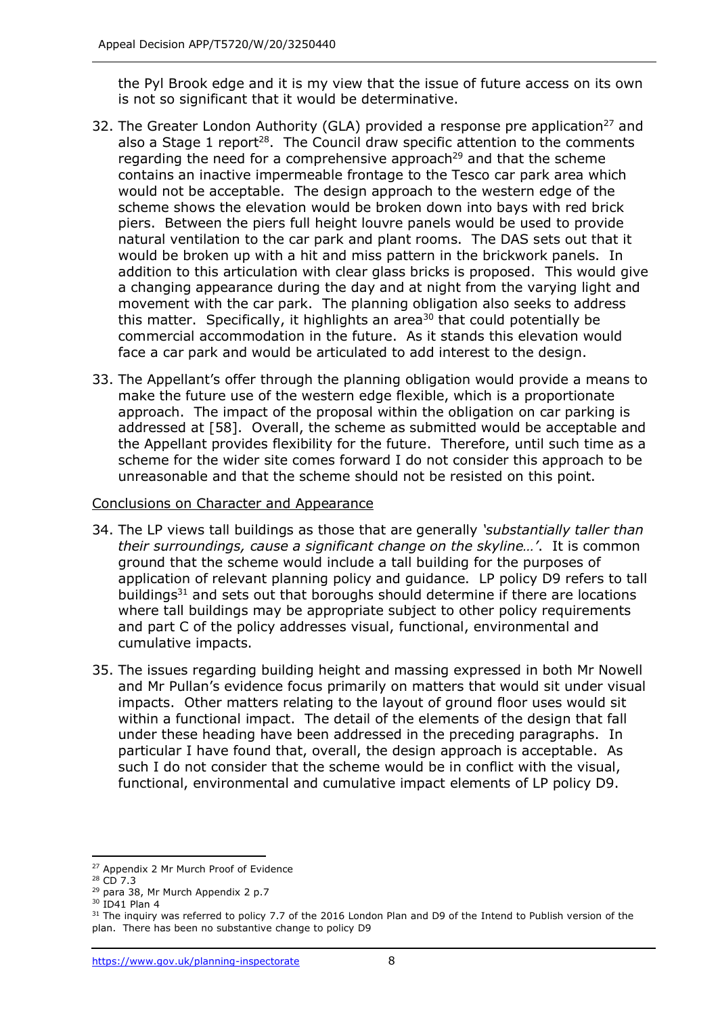the Pyl Brook edge and it is my view that the issue of future access on its own is not so significant that it would be determinative.

- 32. The Greater London Authority (GLA) provided a response pre application<sup>27</sup> and also a Stage 1 report<sup>28</sup>. The Council draw specific attention to the comments regarding the need for a comprehensive approach<sup>29</sup> and that the scheme contains an inactive impermeable frontage to the Tesco car park area which would not be acceptable. The design approach to the western edge of the scheme shows the elevation would be broken down into bays with red brick piers. Between the piers full height louvre panels would be used to provide natural ventilation to the car park and plant rooms. The DAS sets out that it would be broken up with a hit and miss pattern in the brickwork panels. In addition to this articulation with clear glass bricks is proposed. This would give a changing appearance during the day and at night from the varying light and movement with the car park. The planning obligation also seeks to address this matter. Specifically, it highlights an area<sup>30</sup> that could potentially be commercial accommodation in the future. As it stands this elevation would face a car park and would be articulated to add interest to the design.
- 33. The Appellant's offer through the planning obligation would provide a means to make the future use of the western edge flexible, which is a proportionate approach. The impact of the proposal within the obligation on car parking is addressed at [58]. Overall, the scheme as submitted would be acceptable and the Appellant provides flexibility for the future. Therefore, until such time as a scheme for the wider site comes forward I do not consider this approach to be unreasonable and that the scheme should not be resisted on this point.

#### Conclusions on Character and Appearance

- 34. The LP views tall buildings as those that are generally *'substantially taller than their surroundings, cause a significant change on the skyline…'*. It is common ground that the scheme would include a tall building for the purposes of application of relevant planning policy and guidance. LP policy D9 refers to tall buildings $31$  and sets out that boroughs should determine if there are locations where tall buildings may be appropriate subject to other policy requirements and part C of the policy addresses visual, functional, environmental and cumulative impacts.
- 35. The issues regarding building height and massing expressed in both Mr Nowell and Mr Pullan's evidence focus primarily on matters that would sit under visual impacts. Other matters relating to the layout of ground floor uses would sit within a functional impact. The detail of the elements of the design that fall under these heading have been addressed in the preceding paragraphs. In particular I have found that, overall, the design approach is acceptable. As such I do not consider that the scheme would be in conflict with the visual, functional, environmental and cumulative impact elements of LP policy D9.

<sup>27</sup> Appendix 2 Mr Murch Proof of Evidence

<sup>28</sup> CD 7.3

<sup>&</sup>lt;sup>29</sup> para 38, Mr Murch Appendix 2 p.7

<sup>30</sup> ID41 Plan 4

<sup>&</sup>lt;sup>31</sup> The inquiry was referred to policy 7.7 of the 2016 London Plan and D9 of the Intend to Publish version of the plan. There has been no substantive change to policy D9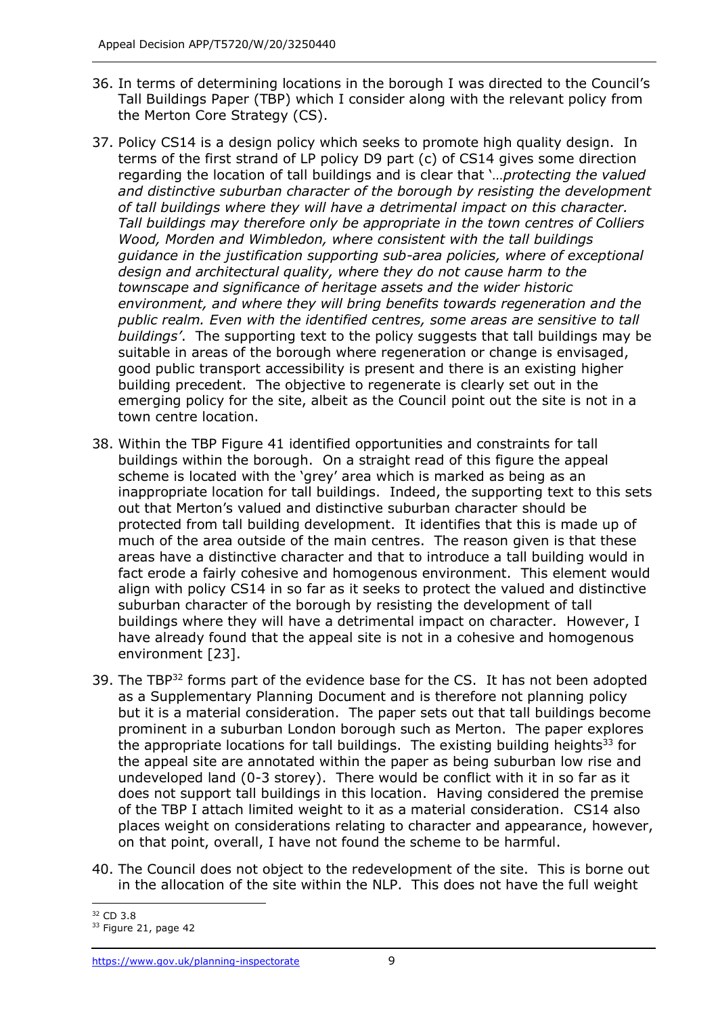- 36. In terms of determining locations in the borough I was directed to the Council's Tall Buildings Paper (TBP) which I consider along with the relevant policy from the Merton Core Strategy (CS).
- 37. Policy CS14 is a design policy which seeks to promote high quality design. In terms of the first strand of LP policy D9 part (c) of CS14 gives some direction regarding the location of tall buildings and is clear that '…*protecting the valued and distinctive suburban character of the borough by resisting the development of tall buildings where they will have a detrimental impact on this character. Tall buildings may therefore only be appropriate in the town centres of Colliers Wood, Morden and Wimbledon, where consistent with the tall buildings guidance in the justification supporting sub-area policies, where of exceptional design and architectural quality, where they do not cause harm to the townscape and significance of heritage assets and the wider historic environment, and where they will bring benefits towards regeneration and the public realm. Even with the identified centres, some areas are sensitive to tall buildings'*. The supporting text to the policy suggests that tall buildings may be suitable in areas of the borough where regeneration or change is envisaged, good public transport accessibility is present and there is an existing higher building precedent. The objective to regenerate is clearly set out in the emerging policy for the site, albeit as the Council point out the site is not in a town centre location.
- 38. Within the TBP Figure 41 identified opportunities and constraints for tall buildings within the borough. On a straight read of this figure the appeal scheme is located with the 'grey' area which is marked as being as an inappropriate location for tall buildings. Indeed, the supporting text to this sets out that Merton's valued and distinctive suburban character should be protected from tall building development. It identifies that this is made up of much of the area outside of the main centres. The reason given is that these areas have a distinctive character and that to introduce a tall building would in fact erode a fairly cohesive and homogenous environment. This element would align with policy CS14 in so far as it seeks to protect the valued and distinctive suburban character of the borough by resisting the development of tall buildings where they will have a detrimental impact on character. However, I have already found that the appeal site is not in a cohesive and homogenous environment [23].
- 39. The TBP<sup>32</sup> forms part of the evidence base for the CS. It has not been adopted as a Supplementary Planning Document and is therefore not planning policy but it is a material consideration. The paper sets out that tall buildings become prominent in a suburban London borough such as Merton. The paper explores the appropriate locations for tall buildings. The existing building heights<sup>33</sup> for the appeal site are annotated within the paper as being suburban low rise and undeveloped land (0-3 storey). There would be conflict with it in so far as it does not support tall buildings in this location. Having considered the premise of the TBP I attach limited weight to it as a material consideration. CS14 also places weight on considerations relating to character and appearance, however, on that point, overall, I have not found the scheme to be harmful.
- 40. The Council does not object to the redevelopment of the site. This is borne out in the allocation of the site within the NLP. This does not have the full weight

<sup>32</sup> CD 3.8

<sup>&</sup>lt;sup>33</sup> Figure 21, page 42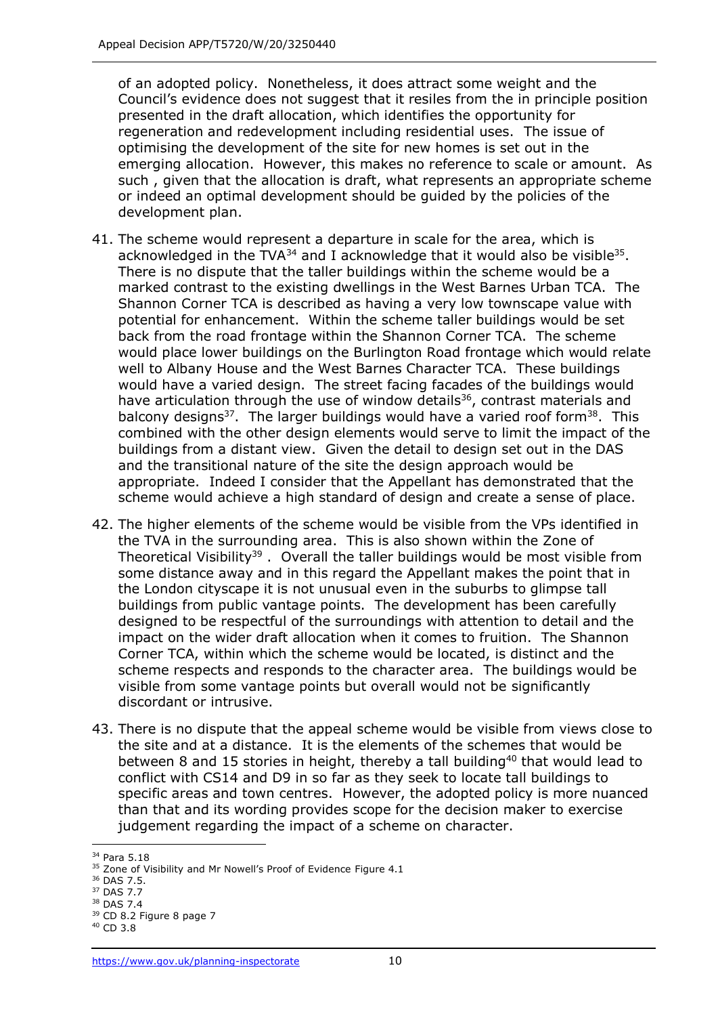of an adopted policy. Nonetheless, it does attract some weight and the Council's evidence does not suggest that it resiles from the in principle position presented in the draft allocation, which identifies the opportunity for regeneration and redevelopment including residential uses. The issue of optimising the development of the site for new homes is set out in the emerging allocation. However, this makes no reference to scale or amount. As such , given that the allocation is draft, what represents an appropriate scheme or indeed an optimal development should be guided by the policies of the development plan.

- 41. The scheme would represent a departure in scale for the area, which is acknowledged in the TVA $^{34}$  and I acknowledge that it would also be visible $^{35}$ . There is no dispute that the taller buildings within the scheme would be a marked contrast to the existing dwellings in the West Barnes Urban TCA. The Shannon Corner TCA is described as having a very low townscape value with potential for enhancement. Within the scheme taller buildings would be set back from the road frontage within the Shannon Corner TCA. The scheme would place lower buildings on the Burlington Road frontage which would relate well to Albany House and the West Barnes Character TCA. These buildings would have a varied design. The street facing facades of the buildings would have articulation through the use of window details<sup>36</sup>, contrast materials and balcony designs<sup>37</sup>. The larger buildings would have a varied roof form<sup>38</sup>. This combined with the other design elements would serve to limit the impact of the buildings from a distant view. Given the detail to design set out in the DAS and the transitional nature of the site the design approach would be appropriate. Indeed I consider that the Appellant has demonstrated that the scheme would achieve a high standard of design and create a sense of place.
- 42. The higher elements of the scheme would be visible from the VPs identified in the TVA in the surrounding area. This is also shown within the Zone of Theoretical Visibility<sup>39</sup>. Overall the taller buildings would be most visible from some distance away and in this regard the Appellant makes the point that in the London cityscape it is not unusual even in the suburbs to glimpse tall buildings from public vantage points. The development has been carefully designed to be respectful of the surroundings with attention to detail and the impact on the wider draft allocation when it comes to fruition. The Shannon Corner TCA, within which the scheme would be located, is distinct and the scheme respects and responds to the character area. The buildings would be visible from some vantage points but overall would not be significantly discordant or intrusive.
- 43. There is no dispute that the appeal scheme would be visible from views close to the site and at a distance. It is the elements of the schemes that would be between 8 and 15 stories in height, thereby a tall building<sup>40</sup> that would lead to conflict with CS14 and D9 in so far as they seek to locate tall buildings to specific areas and town centres. However, the adopted policy is more nuanced than that and its wording provides scope for the decision maker to exercise judgement regarding the impact of a scheme on character.

<sup>34</sup> Para 5.18

<sup>&</sup>lt;sup>35</sup> Zone of Visibility and Mr Nowell's Proof of Evidence Figure 4.1

<sup>36</sup> DAS 7.5.

<sup>37</sup> DAS 7.7

<sup>38</sup> DAS 7.4

 $39$  CD 8.2 Figure 8 page 7

<sup>40</sup> CD 3.8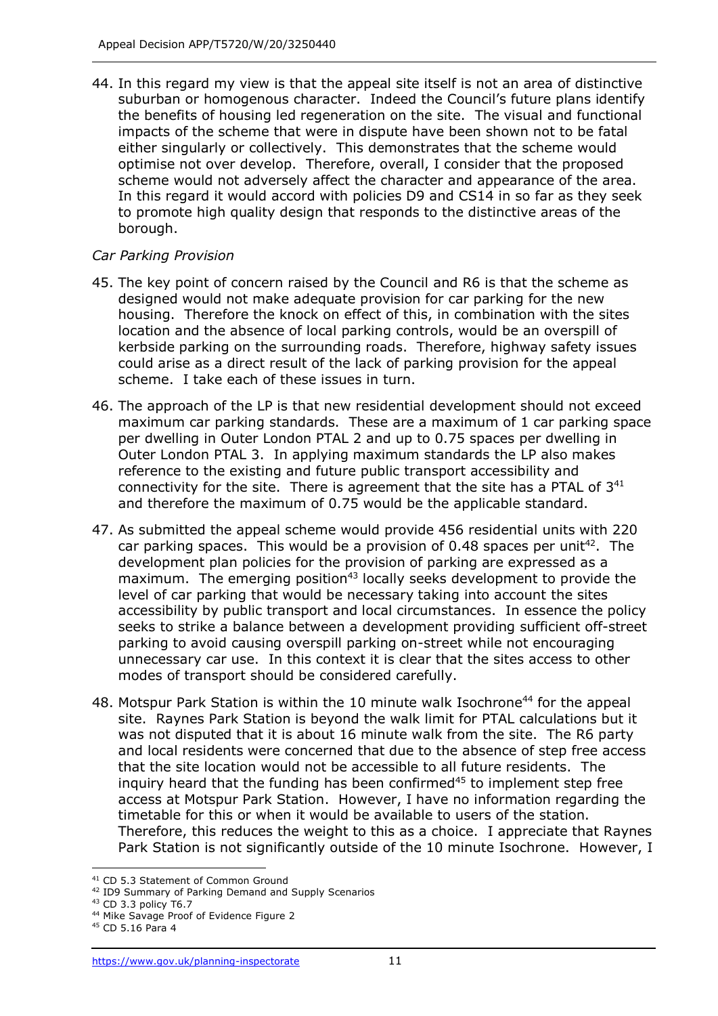44. In this regard my view is that the appeal site itself is not an area of distinctive suburban or homogenous character. Indeed the Council's future plans identify the benefits of housing led regeneration on the site. The visual and functional impacts of the scheme that were in dispute have been shown not to be fatal either singularly or collectively. This demonstrates that the scheme would optimise not over develop. Therefore, overall, I consider that the proposed scheme would not adversely affect the character and appearance of the area. In this regard it would accord with policies D9 and CS14 in so far as they seek to promote high quality design that responds to the distinctive areas of the borough.

#### *Car Parking Provision*

- 45. The key point of concern raised by the Council and R6 is that the scheme as designed would not make adequate provision for car parking for the new housing. Therefore the knock on effect of this, in combination with the sites location and the absence of local parking controls, would be an overspill of kerbside parking on the surrounding roads. Therefore, highway safety issues could arise as a direct result of the lack of parking provision for the appeal scheme. I take each of these issues in turn.
- 46. The approach of the LP is that new residential development should not exceed maximum car parking standards. These are a maximum of 1 car parking space per dwelling in Outer London PTAL 2 and up to 0.75 spaces per dwelling in Outer London PTAL 3. In applying maximum standards the LP also makes reference to the existing and future public transport accessibility and connectivity for the site. There is agreement that the site has a PTAL of 3<sup>41</sup> and therefore the maximum of 0.75 would be the applicable standard.
- 47. As submitted the appeal scheme would provide 456 residential units with 220 car parking spaces. This would be a provision of 0.48 spaces per unit<sup>42</sup>. The development plan policies for the provision of parking are expressed as a  $maximum$ . The emerging position<sup>43</sup> locally seeks development to provide the level of car parking that would be necessary taking into account the sites accessibility by public transport and local circumstances. In essence the policy seeks to strike a balance between a development providing sufficient off-street parking to avoid causing overspill parking on-street while not encouraging unnecessary car use. In this context it is clear that the sites access to other modes of transport should be considered carefully.
- 48. Motspur Park Station is within the 10 minute walk Isochrone<sup>44</sup> for the appeal site. Raynes Park Station is beyond the walk limit for PTAL calculations but it was not disputed that it is about 16 minute walk from the site. The R6 party and local residents were concerned that due to the absence of step free access that the site location would not be accessible to all future residents. The inquiry heard that the funding has been confirmed $45$  to implement step free access at Motspur Park Station. However, I have no information regarding the timetable for this or when it would be available to users of the station. Therefore, this reduces the weight to this as a choice. I appreciate that Raynes Park Station is not significantly outside of the 10 minute Isochrone. However, I

<sup>&</sup>lt;sup>41</sup> CD 5.3 Statement of Common Ground

<sup>42</sup> ID9 Summary of Parking Demand and Supply Scenarios

<sup>43</sup> CD 3.3 policy T6.7

<sup>44</sup> Mike Savage Proof of Evidence Figure 2

<sup>45</sup> CD 5.16 Para 4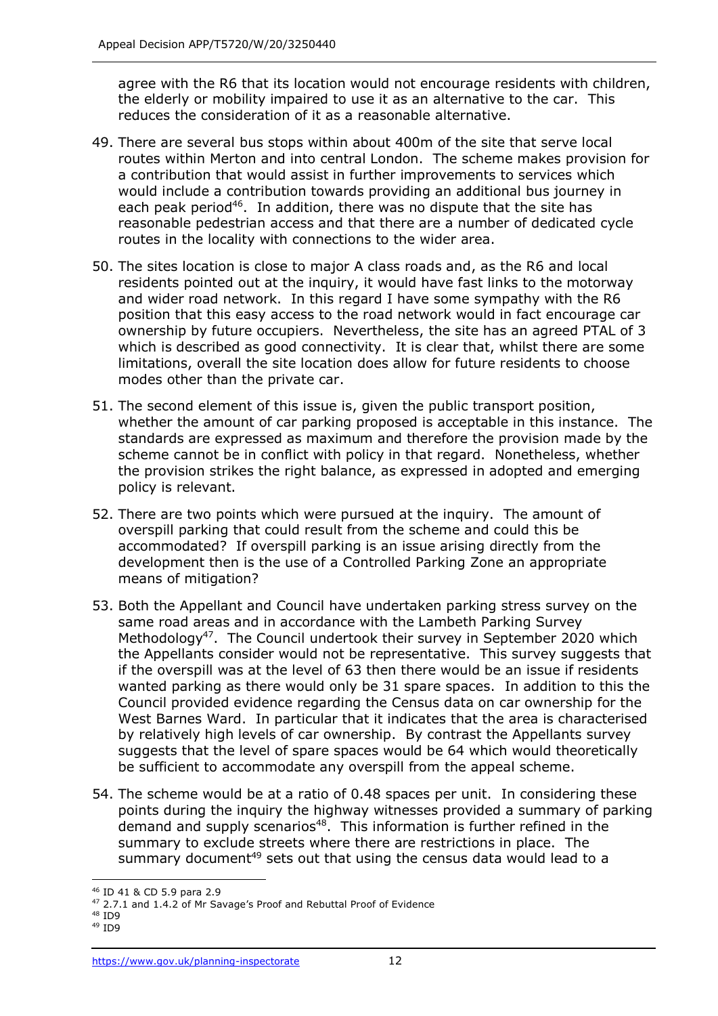agree with the R6 that its location would not encourage residents with children, the elderly or mobility impaired to use it as an alternative to the car. This reduces the consideration of it as a reasonable alternative.

- 49. There are several bus stops within about 400m of the site that serve local routes within Merton and into central London. The scheme makes provision for a contribution that would assist in further improvements to services which would include a contribution towards providing an additional bus journey in each peak period<sup>46</sup>. In addition, there was no dispute that the site has reasonable pedestrian access and that there are a number of dedicated cycle routes in the locality with connections to the wider area.
- 50. The sites location is close to major A class roads and, as the R6 and local residents pointed out at the inquiry, it would have fast links to the motorway and wider road network. In this regard I have some sympathy with the R6 position that this easy access to the road network would in fact encourage car ownership by future occupiers. Nevertheless, the site has an agreed PTAL of 3 which is described as good connectivity. It is clear that, whilst there are some limitations, overall the site location does allow for future residents to choose modes other than the private car.
- 51. The second element of this issue is, given the public transport position, whether the amount of car parking proposed is acceptable in this instance. The standards are expressed as maximum and therefore the provision made by the scheme cannot be in conflict with policy in that regard. Nonetheless, whether the provision strikes the right balance, as expressed in adopted and emerging policy is relevant.
- 52. There are two points which were pursued at the inquiry. The amount of overspill parking that could result from the scheme and could this be accommodated? If overspill parking is an issue arising directly from the development then is the use of a Controlled Parking Zone an appropriate means of mitigation?
- 53. Both the Appellant and Council have undertaken parking stress survey on the same road areas and in accordance with the Lambeth Parking Survey Methodology<sup>47</sup>. The Council undertook their survey in September 2020 which the Appellants consider would not be representative. This survey suggests that if the overspill was at the level of 63 then there would be an issue if residents wanted parking as there would only be 31 spare spaces. In addition to this the Council provided evidence regarding the Census data on car ownership for the West Barnes Ward. In particular that it indicates that the area is characterised by relatively high levels of car ownership. By contrast the Appellants survey suggests that the level of spare spaces would be 64 which would theoretically be sufficient to accommodate any overspill from the appeal scheme.
- 54. The scheme would be at a ratio of 0.48 spaces per unit. In considering these points during the inquiry the highway witnesses provided a summary of parking demand and supply scenarios<sup>48</sup>. This information is further refined in the summary to exclude streets where there are restrictions in place. The summary document<sup>49</sup> sets out that using the census data would lead to a

<sup>46</sup> ID 41 & CD 5.9 para 2.9

<sup>&</sup>lt;sup>47</sup> 2.7.1 and 1.4.2 of Mr Savage's Proof and Rebuttal Proof of Evidence

<sup>48</sup> ID9 <sup>49</sup> ID9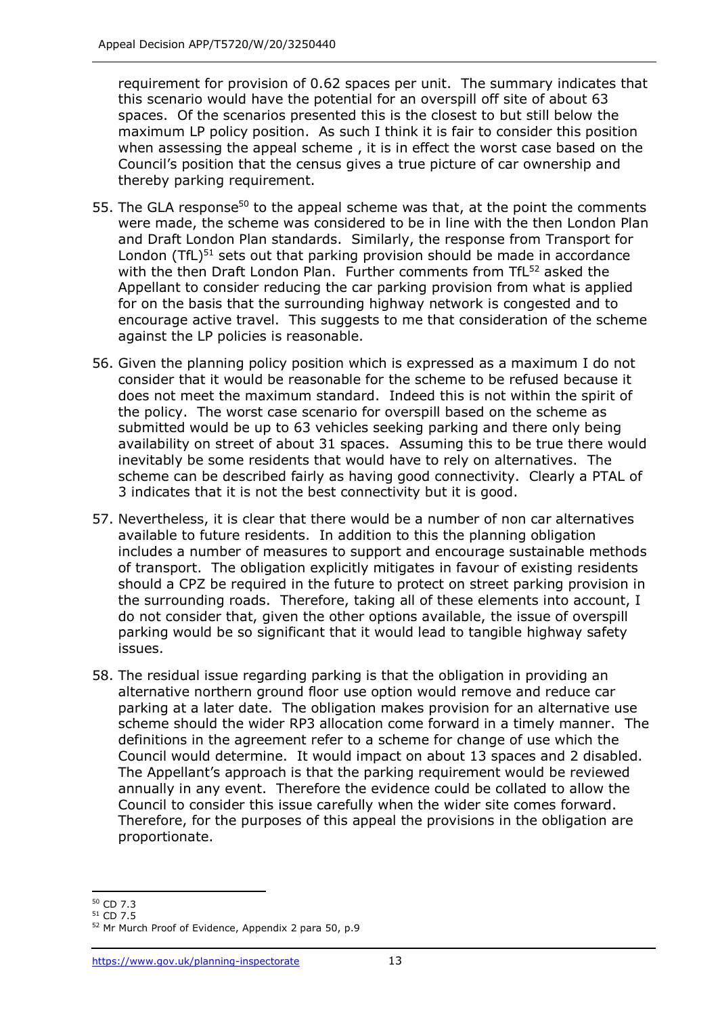requirement for provision of 0.62 spaces per unit. The summary indicates that this scenario would have the potential for an overspill off site of about 63 spaces. Of the scenarios presented this is the closest to but still below the maximum LP policy position. As such I think it is fair to consider this position when assessing the appeal scheme , it is in effect the worst case based on the Council's position that the census gives a true picture of car ownership and thereby parking requirement.

- 55. The GLA response<sup>50</sup> to the appeal scheme was that, at the point the comments were made, the scheme was considered to be in line with the then London Plan and Draft London Plan standards. Similarly, the response from Transport for London (TfL)<sup>51</sup> sets out that parking provision should be made in accordance with the then Draft London Plan. Further comments from TfL<sup>52</sup> asked the Appellant to consider reducing the car parking provision from what is applied for on the basis that the surrounding highway network is congested and to encourage active travel. This suggests to me that consideration of the scheme against the LP policies is reasonable.
- 56. Given the planning policy position which is expressed as a maximum I do not consider that it would be reasonable for the scheme to be refused because it does not meet the maximum standard. Indeed this is not within the spirit of the policy. The worst case scenario for overspill based on the scheme as submitted would be up to 63 vehicles seeking parking and there only being availability on street of about 31 spaces. Assuming this to be true there would inevitably be some residents that would have to rely on alternatives. The scheme can be described fairly as having good connectivity. Clearly a PTAL of 3 indicates that it is not the best connectivity but it is good.
- 57. Nevertheless, it is clear that there would be a number of non car alternatives available to future residents. In addition to this the planning obligation includes a number of measures to support and encourage sustainable methods of transport. The obligation explicitly mitigates in favour of existing residents should a CPZ be required in the future to protect on street parking provision in the surrounding roads. Therefore, taking all of these elements into account, I do not consider that, given the other options available, the issue of overspill parking would be so significant that it would lead to tangible highway safety issues.
- 58. The residual issue regarding parking is that the obligation in providing an alternative northern ground floor use option would remove and reduce car parking at a later date. The obligation makes provision for an alternative use scheme should the wider RP3 allocation come forward in a timely manner. The definitions in the agreement refer to a scheme for change of use which the Council would determine. It would impact on about 13 spaces and 2 disabled. The Appellant's approach is that the parking requirement would be reviewed annually in any event. Therefore the evidence could be collated to allow the Council to consider this issue carefully when the wider site comes forward. Therefore, for the purposes of this appeal the provisions in the obligation are proportionate.

<sup>50</sup> CD 7.3

<sup>51</sup> CD 7.5

<sup>52</sup> Mr Murch Proof of Evidence, Appendix 2 para 50, p.9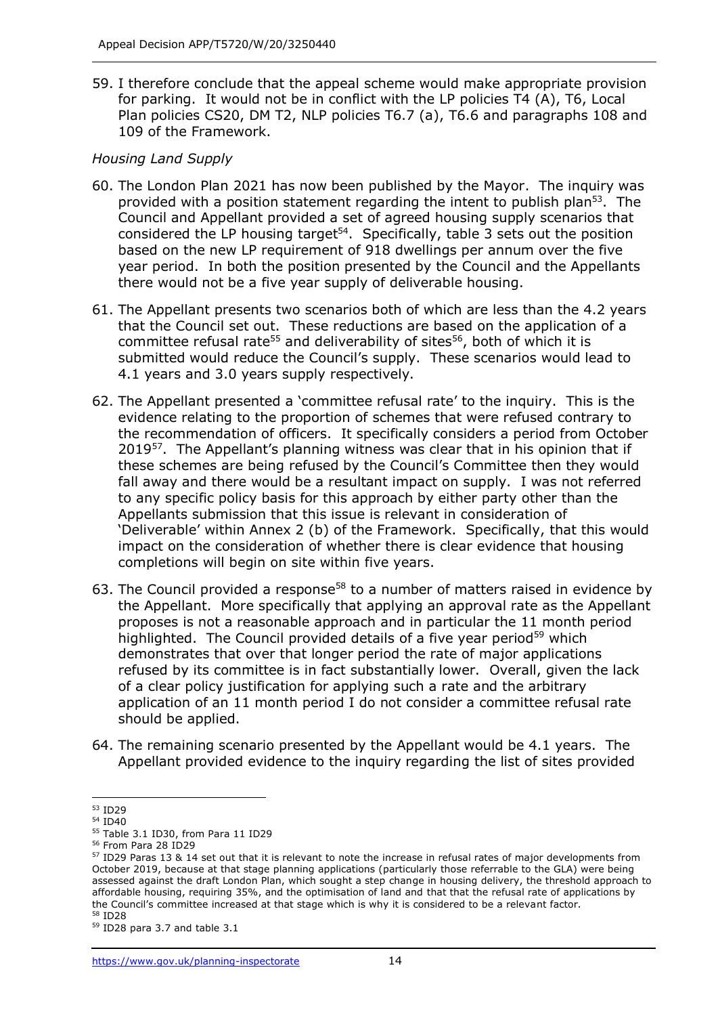59. I therefore conclude that the appeal scheme would make appropriate provision for parking. It would not be in conflict with the LP policies T4 (A), T6, Local Plan policies CS20, DM T2, NLP policies T6.7 (a), T6.6 and paragraphs 108 and 109 of the Framework.

### *Housing Land Supply*

- 60. The London Plan 2021 has now been published by the Mayor. The inquiry was provided with a position statement regarding the intent to publish plan<sup>53</sup>. The Council and Appellant provided a set of agreed housing supply scenarios that considered the LP housing target<sup>54</sup>. Specifically, table 3 sets out the position based on the new LP requirement of 918 dwellings per annum over the five year period. In both the position presented by the Council and the Appellants there would not be a five year supply of deliverable housing.
- 61. The Appellant presents two scenarios both of which are less than the 4.2 years that the Council set out. These reductions are based on the application of a committee refusal rate<sup>55</sup> and deliverability of sites<sup>56</sup>, both of which it is submitted would reduce the Council's supply. These scenarios would lead to 4.1 years and 3.0 years supply respectively.
- 62. The Appellant presented a 'committee refusal rate' to the inquiry. This is the evidence relating to the proportion of schemes that were refused contrary to the recommendation of officers. It specifically considers a period from October 2019<sup>57</sup>. The Appellant's planning witness was clear that in his opinion that if these schemes are being refused by the Council's Committee then they would fall away and there would be a resultant impact on supply. I was not referred to any specific policy basis for this approach by either party other than the Appellants submission that this issue is relevant in consideration of 'Deliverable' within Annex 2 (b) of the Framework. Specifically, that this would impact on the consideration of whether there is clear evidence that housing completions will begin on site within five years.
- 63. The Council provided a response<sup>58</sup> to a number of matters raised in evidence by the Appellant. More specifically that applying an approval rate as the Appellant proposes is not a reasonable approach and in particular the 11 month period highlighted. The Council provided details of a five year period<sup>59</sup> which demonstrates that over that longer period the rate of major applications refused by its committee is in fact substantially lower. Overall, given the lack of a clear policy justification for applying such a rate and the arbitrary application of an 11 month period I do not consider a committee refusal rate should be applied.
- 64. The remaining scenario presented by the Appellant would be 4.1 years. The Appellant provided evidence to the inquiry regarding the list of sites provided

<sup>53</sup> ID29

<sup>54</sup> ID40

<sup>&</sup>lt;sup>55</sup> Table 3.1 ID30, from Para 11 ID29

<sup>56</sup> From Para 28 ID29

<sup>&</sup>lt;sup>57</sup> ID29 Paras 13 & 14 set out that it is relevant to note the increase in refusal rates of major developments from October 2019, because at that stage planning applications (particularly those referrable to the GLA) were being assessed against the draft London Plan, which sought a step change in housing delivery, the threshold approach to affordable housing, requiring 35%, and the optimisation of land and that that the refusal rate of applications by the Council's committee increased at that stage which is why it is considered to be a relevant factor. <sup>58</sup> ID28

<sup>59</sup> ID28 para 3.7 and table 3.1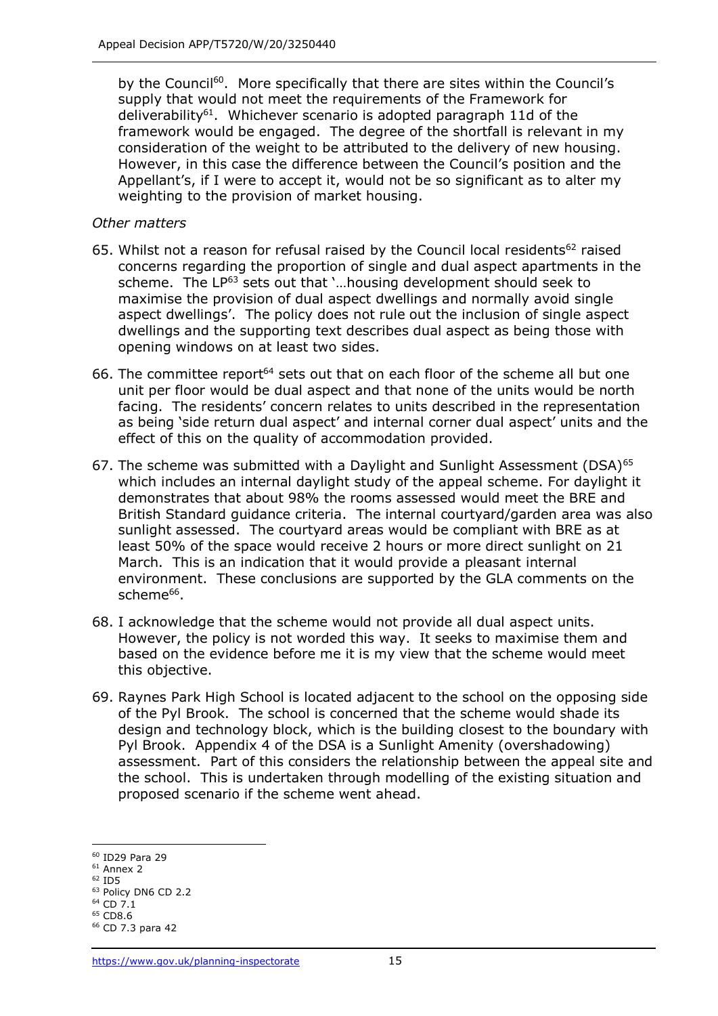by the Council<sup>60</sup>. More specifically that there are sites within the Council's supply that would not meet the requirements of the Framework for deliverability<sup>61</sup>. Whichever scenario is adopted paragraph 11d of the framework would be engaged. The degree of the shortfall is relevant in my consideration of the weight to be attributed to the delivery of new housing. However, in this case the difference between the Council's position and the Appellant's, if I were to accept it, would not be so significant as to alter my weighting to the provision of market housing.

### *Other matters*

- 65. Whilst not a reason for refusal raised by the Council local residents<sup>62</sup> raised concerns regarding the proportion of single and dual aspect apartments in the scheme. The LP<sup>63</sup> sets out that '...housing development should seek to maximise the provision of dual aspect dwellings and normally avoid single aspect dwellings'. The policy does not rule out the inclusion of single aspect dwellings and the supporting text describes dual aspect as being those with opening windows on at least two sides.
- 66. The committee report $64$  sets out that on each floor of the scheme all but one unit per floor would be dual aspect and that none of the units would be north facing. The residents' concern relates to units described in the representation as being 'side return dual aspect' and internal corner dual aspect' units and the effect of this on the quality of accommodation provided.
- 67. The scheme was submitted with a Daylight and Sunlight Assessment (DSA) $65$ which includes an internal daylight study of the appeal scheme. For daylight it demonstrates that about 98% the rooms assessed would meet the BRE and British Standard guidance criteria. The internal courtyard/garden area was also sunlight assessed. The courtyard areas would be compliant with BRE as at least 50% of the space would receive 2 hours or more direct sunlight on 21 March. This is an indication that it would provide a pleasant internal environment. These conclusions are supported by the GLA comments on the scheme<sup>66</sup>.
- 68. I acknowledge that the scheme would not provide all dual aspect units. However, the policy is not worded this way. It seeks to maximise them and based on the evidence before me it is my view that the scheme would meet this objective.
- 69. Raynes Park High School is located adjacent to the school on the opposing side of the Pyl Brook. The school is concerned that the scheme would shade its design and technology block, which is the building closest to the boundary with Pyl Brook. Appendix 4 of the DSA is a Sunlight Amenity (overshadowing) assessment. Part of this considers the relationship between the appeal site and the school. This is undertaken through modelling of the existing situation and proposed scenario if the scheme went ahead.

<sup>60</sup> ID29 Para 29

<sup>61</sup> Annex 2  $62$  ID5

<sup>&</sup>lt;sup>63</sup> Policy DN6 CD 2.2

<sup>64</sup> CD 7.1

 $65$  CD8.6

<sup>66</sup> CD 7.3 para 42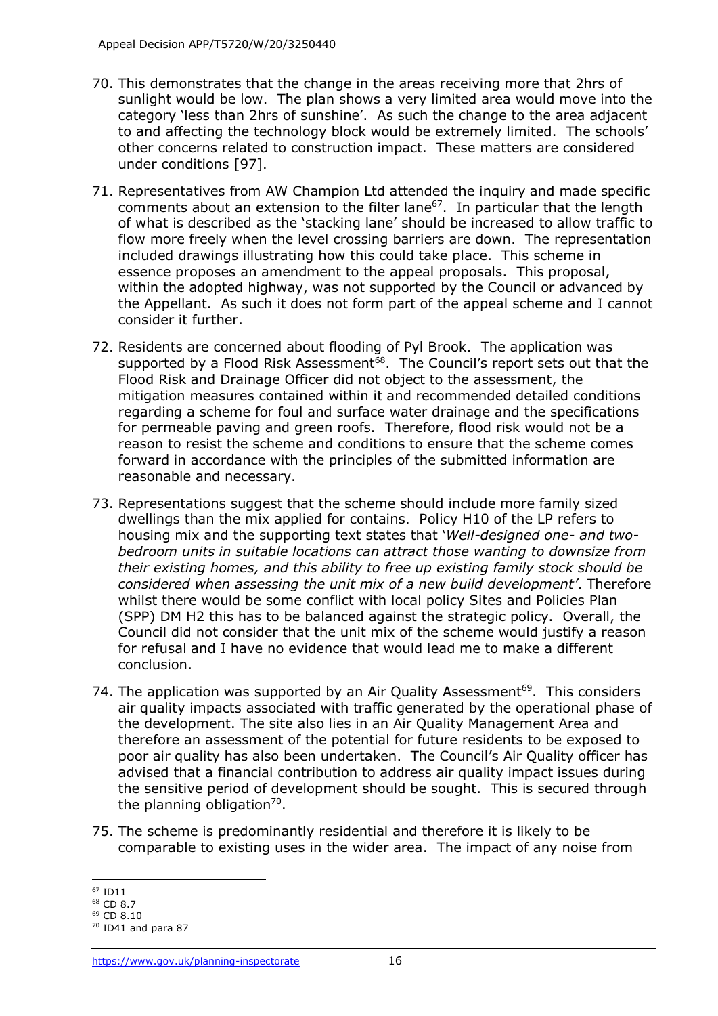- 70. This demonstrates that the change in the areas receiving more that 2hrs of sunlight would be low. The plan shows a very limited area would move into the category 'less than 2hrs of sunshine'. As such the change to the area adjacent to and affecting the technology block would be extremely limited. The schools' other concerns related to construction impact. These matters are considered under conditions [97].
- 71. Representatives from AW Champion Ltd attended the inquiry and made specific comments about an extension to the filter lane $67$ . In particular that the length of what is described as the 'stacking lane' should be increased to allow traffic to flow more freely when the level crossing barriers are down. The representation included drawings illustrating how this could take place. This scheme in essence proposes an amendment to the appeal proposals. This proposal, within the adopted highway, was not supported by the Council or advanced by the Appellant. As such it does not form part of the appeal scheme and I cannot consider it further.
- 72. Residents are concerned about flooding of Pyl Brook. The application was supported by a Flood Risk Assessment<sup>68</sup>. The Council's report sets out that the Flood Risk and Drainage Officer did not object to the assessment, the mitigation measures contained within it and recommended detailed conditions regarding a scheme for foul and surface water drainage and the specifications for permeable paving and green roofs. Therefore, flood risk would not be a reason to resist the scheme and conditions to ensure that the scheme comes forward in accordance with the principles of the submitted information are reasonable and necessary.
- 73. Representations suggest that the scheme should include more family sized dwellings than the mix applied for contains. Policy H10 of the LP refers to housing mix and the supporting text states that '*Well-designed one- and twobedroom units in suitable locations can attract those wanting to downsize from their existing homes, and this ability to free up existing family stock should be considered when assessing the unit mix of a new build development'*. Therefore whilst there would be some conflict with local policy Sites and Policies Plan (SPP) DM H2 this has to be balanced against the strategic policy. Overall, the Council did not consider that the unit mix of the scheme would justify a reason for refusal and I have no evidence that would lead me to make a different conclusion.
- 74. The application was supported by an Air Quality Assessment<sup>69</sup>. This considers air quality impacts associated with traffic generated by the operational phase of the development. The site also lies in an Air Quality Management Area and therefore an assessment of the potential for future residents to be exposed to poor air quality has also been undertaken. The Council's Air Quality officer has advised that a financial contribution to address air quality impact issues during the sensitive period of development should be sought. This is secured through the planning obligation<sup>70</sup>.
- 75. The scheme is predominantly residential and therefore it is likely to be comparable to existing uses in the wider area. The impact of any noise from

<sup>67</sup> ID11

<sup>68</sup> CD 8.7

 $69$  CD 8.10

 $70$  ID41 and para 87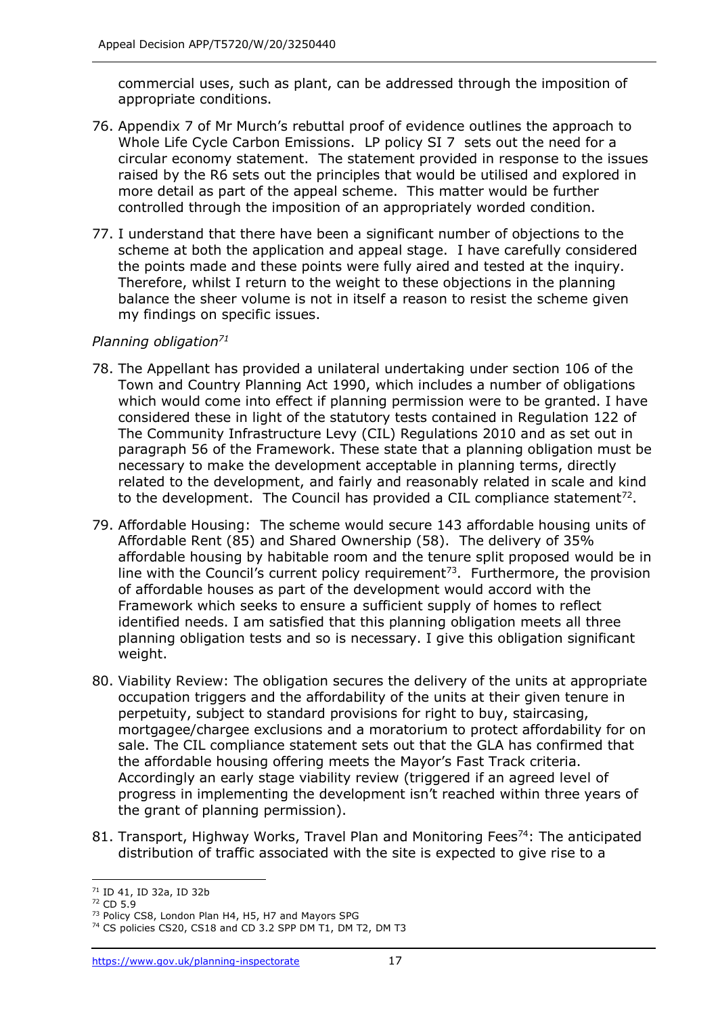commercial uses, such as plant, can be addressed through the imposition of appropriate conditions.

- 76. Appendix 7 of Mr Murch's rebuttal proof of evidence outlines the approach to Whole Life Cycle Carbon Emissions. LP policy SI 7 sets out the need for a circular economy statement. The statement provided in response to the issues raised by the R6 sets out the principles that would be utilised and explored in more detail as part of the appeal scheme. This matter would be further controlled through the imposition of an appropriately worded condition.
- 77. I understand that there have been a significant number of objections to the scheme at both the application and appeal stage. I have carefully considered the points made and these points were fully aired and tested at the inquiry. Therefore, whilst I return to the weight to these objections in the planning balance the sheer volume is not in itself a reason to resist the scheme given my findings on specific issues.

### *Planning obligation<sup>71</sup>*

- 78. The Appellant has provided a unilateral undertaking under section 106 of the Town and Country Planning Act 1990, which includes a number of obligations which would come into effect if planning permission were to be granted. I have considered these in light of the statutory tests contained in Regulation 122 of The Community Infrastructure Levy (CIL) Regulations 2010 and as set out in paragraph 56 of the Framework. These state that a planning obligation must be necessary to make the development acceptable in planning terms, directly related to the development, and fairly and reasonably related in scale and kind to the development. The Council has provided a CIL compliance statement<sup>72</sup>.
- 79. Affordable Housing: The scheme would secure 143 affordable housing units of Affordable Rent (85) and Shared Ownership (58). The delivery of 35% affordable housing by habitable room and the tenure split proposed would be in line with the Council's current policy requirement<sup>73</sup>. Furthermore, the provision of affordable houses as part of the development would accord with the Framework which seeks to ensure a sufficient supply of homes to reflect identified needs. I am satisfied that this planning obligation meets all three planning obligation tests and so is necessary. I give this obligation significant weight.
- 80. Viability Review: The obligation secures the delivery of the units at appropriate occupation triggers and the affordability of the units at their given tenure in perpetuity, subject to standard provisions for right to buy, staircasing, mortgagee/chargee exclusions and a moratorium to protect affordability for on sale. The CIL compliance statement sets out that the GLA has confirmed that the affordable housing offering meets the Mayor's Fast Track criteria. Accordingly an early stage viability review (triggered if an agreed level of progress in implementing the development isn't reached within three years of the grant of planning permission).
- 81. Transport, Highway Works, Travel Plan and Monitoring Fees<sup>74</sup>: The anticipated distribution of traffic associated with the site is expected to give rise to a

<sup>71</sup> ID 41, ID 32a, ID 32b

<sup>72</sup> CD 5.9

<sup>&</sup>lt;sup>73</sup> Policy CS8, London Plan H4, H5, H7 and Mayors SPG

<sup>&</sup>lt;sup>74</sup> CS policies CS20, CS18 and CD 3.2 SPP DM T1, DM T2, DM T3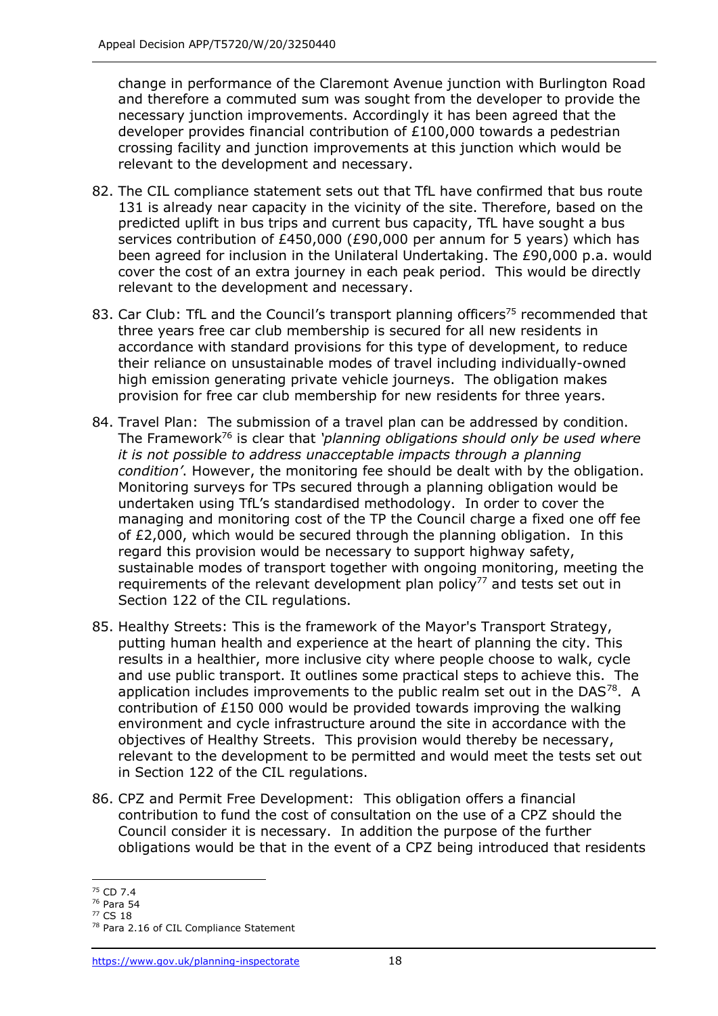change in performance of the Claremont Avenue junction with Burlington Road and therefore a commuted sum was sought from the developer to provide the necessary junction improvements. Accordingly it has been agreed that the developer provides financial contribution of £100,000 towards a pedestrian crossing facility and junction improvements at this junction which would be relevant to the development and necessary.

- 82. The CIL compliance statement sets out that TfL have confirmed that bus route 131 is already near capacity in the vicinity of the site. Therefore, based on the predicted uplift in bus trips and current bus capacity, TfL have sought a bus services contribution of £450,000 (£90,000 per annum for 5 years) which has been agreed for inclusion in the Unilateral Undertaking. The £90,000 p.a. would cover the cost of an extra journey in each peak period. This would be directly relevant to the development and necessary.
- 83. Car Club: TfL and the Council's transport planning officers<sup>75</sup> recommended that three years free car club membership is secured for all new residents in accordance with standard provisions for this type of development, to reduce their reliance on unsustainable modes of travel including individually-owned high emission generating private vehicle journeys. The obligation makes provision for free car club membership for new residents for three years.
- 84. Travel Plan: The submission of a travel plan can be addressed by condition. The Framework<sup>76</sup> is clear that *'planning obligations should only be used where it is not possible to address unacceptable impacts through a planning condition'*. However, the monitoring fee should be dealt with by the obligation. Monitoring surveys for TPs secured through a planning obligation would be undertaken using TfL's standardised methodology. In order to cover the managing and monitoring cost of the TP the Council charge a fixed one off fee of £2,000, which would be secured through the planning obligation. In this regard this provision would be necessary to support highway safety, sustainable modes of transport together with ongoing monitoring, meeting the requirements of the relevant development plan policy $77$  and tests set out in Section 122 of the CIL regulations.
- 85. Healthy Streets: This is the framework of the Mayor's Transport Strategy, putting human health and experience at the heart of planning the city. This results in a healthier, more inclusive city where people choose to walk, cycle and use public transport. It outlines some practical steps to achieve this. The application includes improvements to the public realm set out in the DAS78. A contribution of £150 000 would be provided towards improving the walking environment and cycle infrastructure around the site in accordance with the objectives of Healthy Streets. This provision would thereby be necessary, relevant to the development to be permitted and would meet the tests set out in Section 122 of the CIL regulations.
- 86. CPZ and Permit Free Development: This obligation offers a financial contribution to fund the cost of consultation on the use of a CPZ should the Council consider it is necessary. In addition the purpose of the further obligations would be that in the event of a CPZ being introduced that residents

<sup>75</sup> CD 7.4

<sup>76</sup> Para 54

<sup>77</sup> CS 18

<sup>78</sup> Para 2.16 of CIL Compliance Statement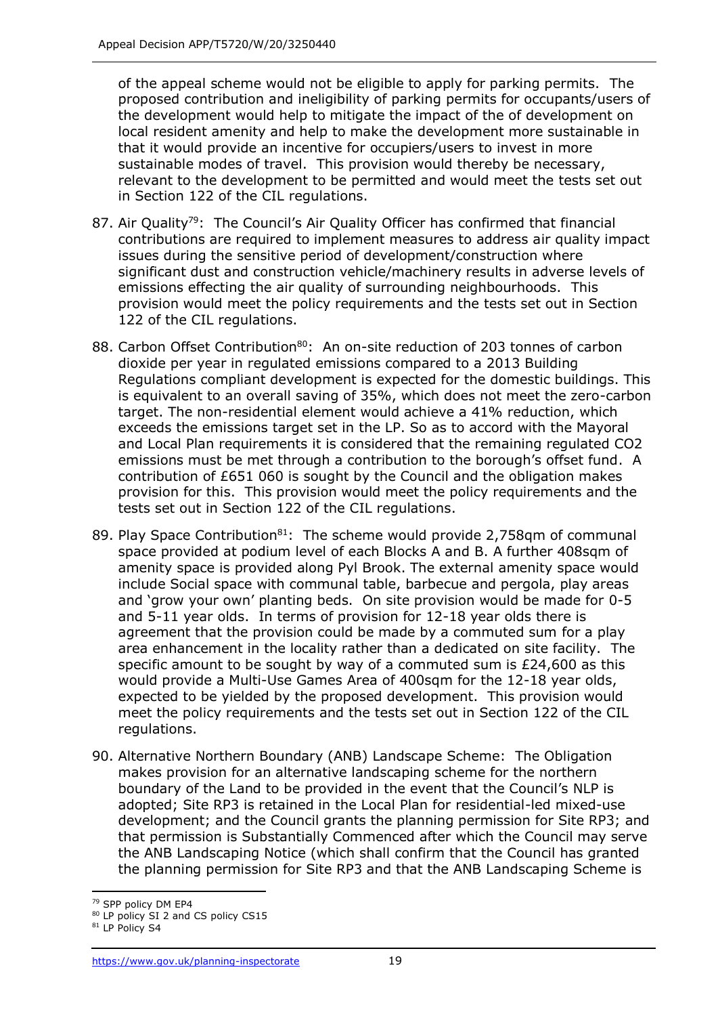of the appeal scheme would not be eligible to apply for parking permits. The proposed contribution and ineligibility of parking permits for occupants/users of the development would help to mitigate the impact of the of development on local resident amenity and help to make the development more sustainable in that it would provide an incentive for occupiers/users to invest in more sustainable modes of travel. This provision would thereby be necessary, relevant to the development to be permitted and would meet the tests set out in Section 122 of the CIL regulations.

- 87. Air Quality<sup>79</sup>: The Council's Air Quality Officer has confirmed that financial contributions are required to implement measures to address air quality impact issues during the sensitive period of development/construction where significant dust and construction vehicle/machinery results in adverse levels of emissions effecting the air quality of surrounding neighbourhoods. This provision would meet the policy requirements and the tests set out in Section 122 of the CIL regulations.
- 88. Carbon Offset Contribution<sup>80</sup>: An on-site reduction of 203 tonnes of carbon dioxide per year in regulated emissions compared to a 2013 Building Regulations compliant development is expected for the domestic buildings. This is equivalent to an overall saving of 35%, which does not meet the zero-carbon target. The non-residential element would achieve a 41% reduction, which exceeds the emissions target set in the LP. So as to accord with the Mayoral and Local Plan requirements it is considered that the remaining regulated CO2 emissions must be met through a contribution to the borough's offset fund. A contribution of £651 060 is sought by the Council and the obligation makes provision for this. This provision would meet the policy requirements and the tests set out in Section 122 of the CIL regulations.
- 89. Play Space Contribution<sup>81</sup>: The scheme would provide 2,758qm of communal space provided at podium level of each Blocks A and B. A further 408sqm of amenity space is provided along Pyl Brook. The external amenity space would include Social space with communal table, barbecue and pergola, play areas and 'grow your own' planting beds. On site provision would be made for 0-5 and 5-11 year olds. In terms of provision for 12-18 year olds there is agreement that the provision could be made by a commuted sum for a play area enhancement in the locality rather than a dedicated on site facility. The specific amount to be sought by way of a commuted sum is £24,600 as this would provide a Multi-Use Games Area of 400sqm for the 12-18 year olds, expected to be yielded by the proposed development. This provision would meet the policy requirements and the tests set out in Section 122 of the CIL regulations.
- 90. Alternative Northern Boundary (ANB) Landscape Scheme: The Obligation makes provision for an alternative landscaping scheme for the northern boundary of the Land to be provided in the event that the Council's NLP is adopted; Site RP3 is retained in the Local Plan for residential-led mixed-use development; and the Council grants the planning permission for Site RP3; and that permission is Substantially Commenced after which the Council may serve the ANB Landscaping Notice (which shall confirm that the Council has granted the planning permission for Site RP3 and that the ANB Landscaping Scheme is

<sup>79</sup> SPP policy DM EP4

<sup>&</sup>lt;sup>80</sup> LP policy SI 2 and CS policy CS15

<sup>&</sup>lt;sup>81</sup> LP Policy S4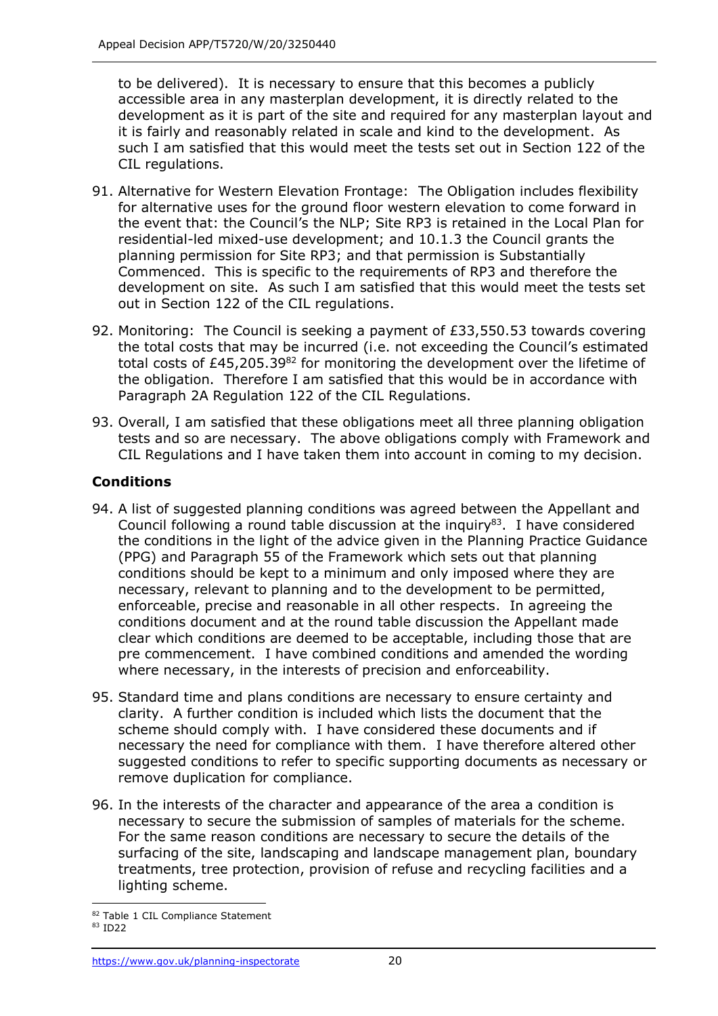to be delivered). It is necessary to ensure that this becomes a publicly accessible area in any masterplan development, it is directly related to the development as it is part of the site and required for any masterplan layout and it is fairly and reasonably related in scale and kind to the development. As such I am satisfied that this would meet the tests set out in Section 122 of the CIL regulations.

- 91. Alternative for Western Elevation Frontage: The Obligation includes flexibility for alternative uses for the ground floor western elevation to come forward in the event that: the Council's the NLP; Site RP3 is retained in the Local Plan for residential-led mixed-use development; and 10.1.3 the Council grants the planning permission for Site RP3; and that permission is Substantially Commenced. This is specific to the requirements of RP3 and therefore the development on site. As such I am satisfied that this would meet the tests set out in Section 122 of the CIL regulations.
- 92. Monitoring: The Council is seeking a payment of £33,550.53 towards covering the total costs that may be incurred (i.e. not exceeding the Council's estimated total costs of  $£45,205.39<sup>82</sup>$  for monitoring the development over the lifetime of the obligation. Therefore I am satisfied that this would be in accordance with Paragraph 2A Regulation 122 of the CIL Regulations.
- 93. Overall, I am satisfied that these obligations meet all three planning obligation tests and so are necessary. The above obligations comply with Framework and CIL Regulations and I have taken them into account in coming to my decision.

## **Conditions**

- 94. A list of suggested planning conditions was agreed between the Appellant and Council following a round table discussion at the inquiry $^{83}$ . I have considered the conditions in the light of the advice given in the Planning Practice Guidance (PPG) and Paragraph 55 of the Framework which sets out that planning conditions should be kept to a minimum and only imposed where they are necessary, relevant to planning and to the development to be permitted, enforceable, precise and reasonable in all other respects. In agreeing the conditions document and at the round table discussion the Appellant made clear which conditions are deemed to be acceptable, including those that are pre commencement. I have combined conditions and amended the wording where necessary, in the interests of precision and enforceability.
- 95. Standard time and plans conditions are necessary to ensure certainty and clarity. A further condition is included which lists the document that the scheme should comply with. I have considered these documents and if necessary the need for compliance with them. I have therefore altered other suggested conditions to refer to specific supporting documents as necessary or remove duplication for compliance.
- 96. In the interests of the character and appearance of the area a condition is necessary to secure the submission of samples of materials for the scheme. For the same reason conditions are necessary to secure the details of the surfacing of the site, landscaping and landscape management plan, boundary treatments, tree protection, provision of refuse and recycling facilities and a lighting scheme.

<sup>82</sup> Table 1 CIL Compliance Statement

<sup>83</sup> ID22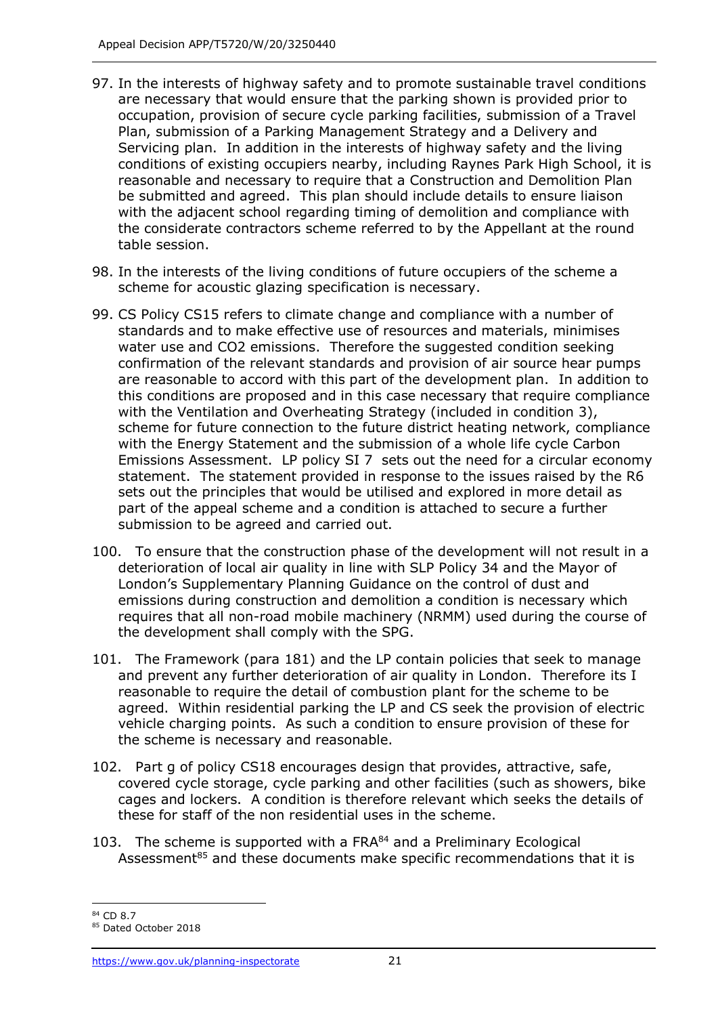- 97. In the interests of highway safety and to promote sustainable travel conditions are necessary that would ensure that the parking shown is provided prior to occupation, provision of secure cycle parking facilities, submission of a Travel Plan, submission of a Parking Management Strategy and a Delivery and Servicing plan. In addition in the interests of highway safety and the living conditions of existing occupiers nearby, including Raynes Park High School, it is reasonable and necessary to require that a Construction and Demolition Plan be submitted and agreed. This plan should include details to ensure liaison with the adjacent school regarding timing of demolition and compliance with the considerate contractors scheme referred to by the Appellant at the round table session.
- 98. In the interests of the living conditions of future occupiers of the scheme a scheme for acoustic glazing specification is necessary.
- 99. CS Policy CS15 refers to climate change and compliance with a number of standards and to make effective use of resources and materials, minimises water use and CO2 emissions. Therefore the suggested condition seeking confirmation of the relevant standards and provision of air source hear pumps are reasonable to accord with this part of the development plan. In addition to this conditions are proposed and in this case necessary that require compliance with the Ventilation and Overheating Strategy (included in condition 3), scheme for future connection to the future district heating network, compliance with the Energy Statement and the submission of a whole life cycle Carbon Emissions Assessment. LP policy SI 7 sets out the need for a circular economy statement. The statement provided in response to the issues raised by the R6 sets out the principles that would be utilised and explored in more detail as part of the appeal scheme and a condition is attached to secure a further submission to be agreed and carried out.
- 100. To ensure that the construction phase of the development will not result in a deterioration of local air quality in line with SLP Policy 34 and the Mayor of London's Supplementary Planning Guidance on the control of dust and emissions during construction and demolition a condition is necessary which requires that all non-road mobile machinery (NRMM) used during the course of the development shall comply with the SPG.
- 101. The Framework (para 181) and the LP contain policies that seek to manage and prevent any further deterioration of air quality in London. Therefore its I reasonable to require the detail of combustion plant for the scheme to be agreed. Within residential parking the LP and CS seek the provision of electric vehicle charging points. As such a condition to ensure provision of these for the scheme is necessary and reasonable.
- 102. Part g of policy CS18 encourages design that provides, attractive, safe, covered cycle storage, cycle parking and other facilities (such as showers, bike cages and lockers. A condition is therefore relevant which seeks the details of these for staff of the non residential uses in the scheme.
- 103. The scheme is supported with a  $FRA^{84}$  and a Preliminary Ecological Assessment<sup>85</sup> and these documents make specific recommendations that it is

<sup>84</sup> CD 8.7

<sup>85</sup> Dated October 2018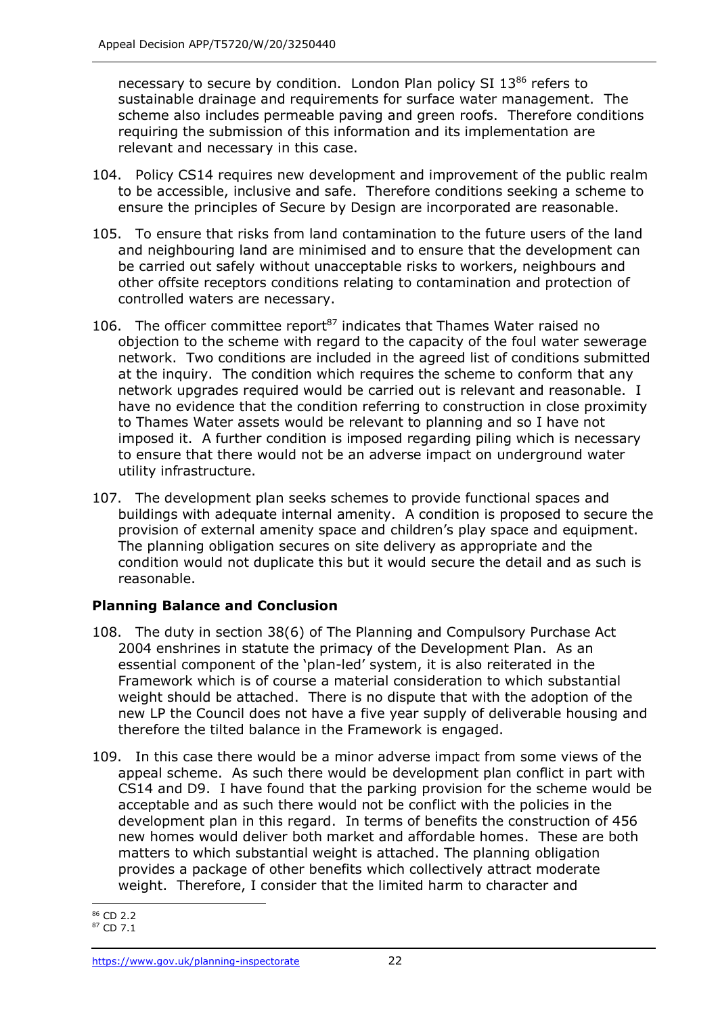necessary to secure by condition. London Plan policy SI 13<sup>86</sup> refers to sustainable drainage and requirements for surface water management. The scheme also includes permeable paving and green roofs. Therefore conditions requiring the submission of this information and its implementation are relevant and necessary in this case.

- 104. Policy CS14 requires new development and improvement of the public realm to be accessible, inclusive and safe. Therefore conditions seeking a scheme to ensure the principles of Secure by Design are incorporated are reasonable.
- 105. To ensure that risks from land contamination to the future users of the land and neighbouring land are minimised and to ensure that the development can be carried out safely without unacceptable risks to workers, neighbours and other offsite receptors conditions relating to contamination and protection of controlled waters are necessary.
- 106. The officer committee report $87$  indicates that Thames Water raised no objection to the scheme with regard to the capacity of the foul water sewerage network. Two conditions are included in the agreed list of conditions submitted at the inquiry. The condition which requires the scheme to conform that any network upgrades required would be carried out is relevant and reasonable. I have no evidence that the condition referring to construction in close proximity to Thames Water assets would be relevant to planning and so I have not imposed it. A further condition is imposed regarding piling which is necessary to ensure that there would not be an adverse impact on underground water utility infrastructure.
- 107. The development plan seeks schemes to provide functional spaces and buildings with adequate internal amenity. A condition is proposed to secure the provision of external amenity space and children's play space and equipment. The planning obligation secures on site delivery as appropriate and the condition would not duplicate this but it would secure the detail and as such is reasonable.

## **Planning Balance and Conclusion**

- 108. The duty in section 38(6) of The Planning and Compulsory Purchase Act 2004 enshrines in statute the primacy of the Development Plan. As an essential component of the 'plan-led' system, it is also reiterated in the Framework which is of course a material consideration to which substantial weight should be attached. There is no dispute that with the adoption of the new LP the Council does not have a five year supply of deliverable housing and therefore the tilted balance in the Framework is engaged.
- 109. In this case there would be a minor adverse impact from some views of the appeal scheme. As such there would be development plan conflict in part with CS14 and D9. I have found that the parking provision for the scheme would be acceptable and as such there would not be conflict with the policies in the development plan in this regard. In terms of benefits the construction of 456 new homes would deliver both market and affordable homes. These are both matters to which substantial weight is attached. The planning obligation provides a package of other benefits which collectively attract moderate weight. Therefore, I consider that the limited harm to character and

<sup>86</sup> CD 2.2

<sup>87</sup> CD 7.1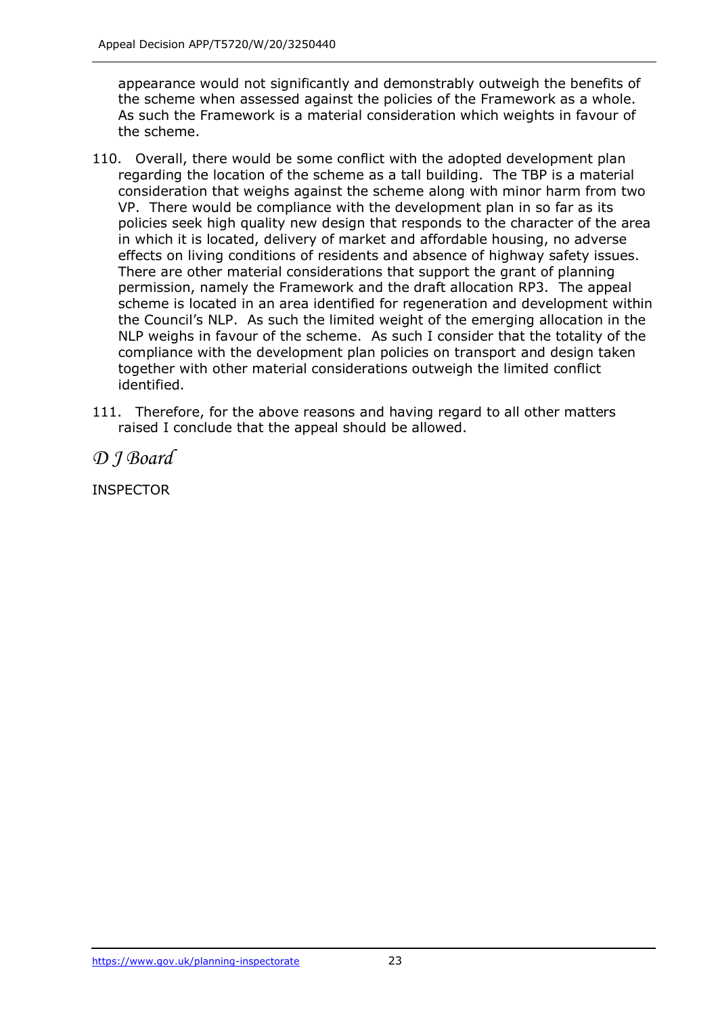appearance would not significantly and demonstrably outweigh the benefits of the scheme when assessed against the policies of the Framework as a whole. As such the Framework is a material consideration which weights in favour of the scheme.

- 110. Overall, there would be some conflict with the adopted development plan regarding the location of the scheme as a tall building. The TBP is a material consideration that weighs against the scheme along with minor harm from two VP. There would be compliance with the development plan in so far as its policies seek high quality new design that responds to the character of the area in which it is located, delivery of market and affordable housing, no adverse effects on living conditions of residents and absence of highway safety issues. There are other material considerations that support the grant of planning permission, namely the Framework and the draft allocation RP3. The appeal scheme is located in an area identified for regeneration and development within the Council's NLP. As such the limited weight of the emerging allocation in the NLP weighs in favour of the scheme. As such I consider that the totality of the compliance with the development plan policies on transport and design taken together with other material considerations outweigh the limited conflict identified.
- 111. Therefore, for the above reasons and having regard to all other matters raised I conclude that the appeal should be allowed.

*D J Board* 

**INSPECTOR**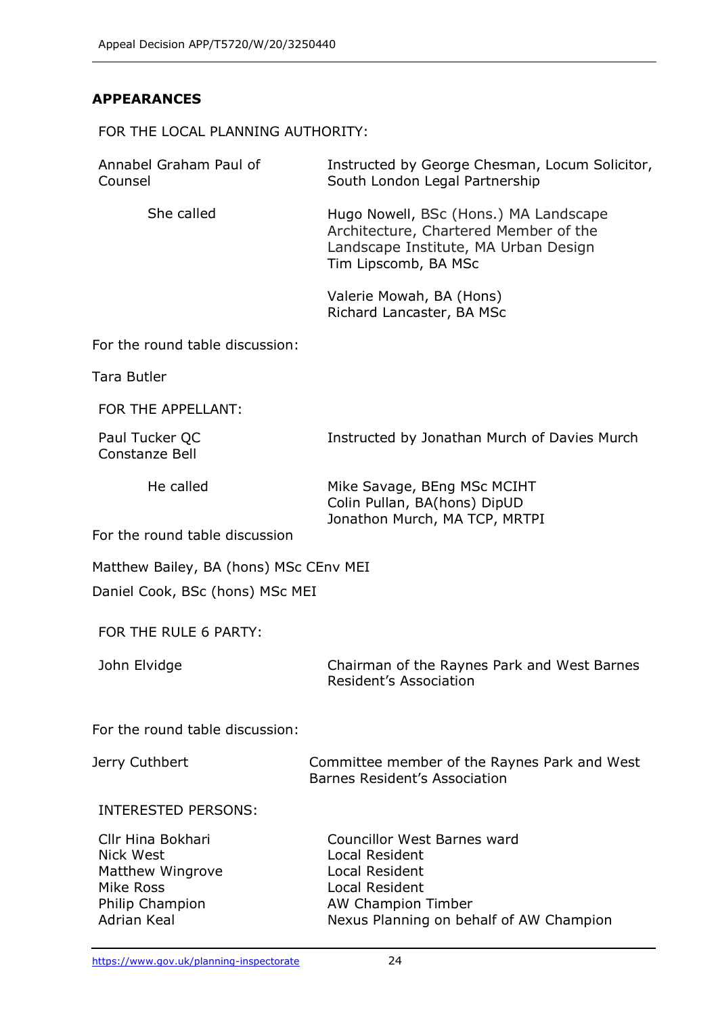### **APPEARANCES**

FOR THE LOCAL PLANNING AUTHORITY:

| Annabel Graham Paul of<br>Counsel                                                                               | Instructed by George Chesman, Locum Solicitor,<br>South London Legal Partnership                                                                                               |
|-----------------------------------------------------------------------------------------------------------------|--------------------------------------------------------------------------------------------------------------------------------------------------------------------------------|
| She called                                                                                                      | Hugo Nowell, BSc (Hons.) MA Landscape<br>Architecture, Chartered Member of the<br>Landscape Institute, MA Urban Design<br>Tim Lipscomb, BA MSc                                 |
|                                                                                                                 | Valerie Mowah, BA (Hons)<br>Richard Lancaster, BA MSc                                                                                                                          |
| For the round table discussion:                                                                                 |                                                                                                                                                                                |
| <b>Tara Butler</b>                                                                                              |                                                                                                                                                                                |
| FOR THE APPELLANT:                                                                                              |                                                                                                                                                                                |
| Paul Tucker QC<br>Constanze Bell                                                                                | Instructed by Jonathan Murch of Davies Murch                                                                                                                                   |
| He called                                                                                                       | Mike Savage, BEng MSc MCIHT<br>Colin Pullan, BA(hons) DipUD<br>Jonathon Murch, MA TCP, MRTPI                                                                                   |
| For the round table discussion                                                                                  |                                                                                                                                                                                |
| Matthew Bailey, BA (hons) MSc CEnv MEI                                                                          |                                                                                                                                                                                |
| Daniel Cook, BSc (hons) MSc MEI                                                                                 |                                                                                                                                                                                |
| FOR THE RULE 6 PARTY:                                                                                           |                                                                                                                                                                                |
| John Elvidge                                                                                                    | Chairman of the Raynes Park and West Barnes<br>Resident's Association                                                                                                          |
| For the round table discussion:                                                                                 |                                                                                                                                                                                |
| Jerry Cuthbert                                                                                                  | Committee member of the Raynes Park and West<br>Barnes Resident's Association                                                                                                  |
| <b>INTERESTED PERSONS:</b>                                                                                      |                                                                                                                                                                                |
| Cllr Hina Bokhari<br><b>Nick West</b><br>Matthew Wingrove<br>Mike Ross<br>Philip Champion<br><b>Adrian Keal</b> | <b>Councillor West Barnes ward</b><br><b>Local Resident</b><br><b>Local Resident</b><br><b>Local Resident</b><br>AW Champion Timber<br>Nexus Planning on behalf of AW Champion |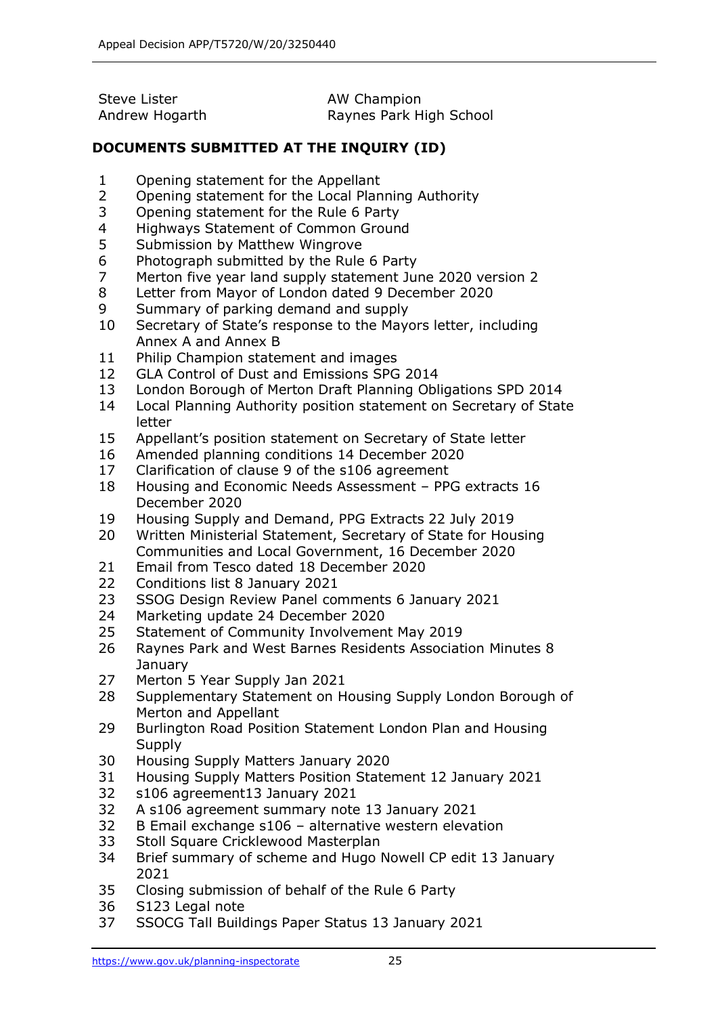| Steve Lister   | AW Champion             |
|----------------|-------------------------|
| Andrew Hogarth | Raynes Park High School |

## **DOCUMENTS SUBMITTED AT THE INQUIRY (ID)**

- Opening statement for the Appellant
- Opening statement for the Local Planning Authority
- Opening statement for the Rule 6 Party
- Highways Statement of Common Ground
- Submission by Matthew Wingrove
- Photograph submitted by the Rule 6 Party
- Merton five year land supply statement June 2020 version 2
- Letter from Mayor of London dated 9 December 2020
- Summary of parking demand and supply
- Secretary of State's response to the Mayors letter, including Annex A and Annex B
- Philip Champion statement and images
- GLA Control of Dust and Emissions SPG 2014
- London Borough of Merton Draft Planning Obligations SPD 2014
- Local Planning Authority position statement on Secretary of State letter
- Appellant's position statement on Secretary of State letter
- Amended planning conditions 14 December 2020
- Clarification of clause 9 of the s106 agreement
- Housing and Economic Needs Assessment PPG extracts 16 December 2020
- Housing Supply and Demand, PPG Extracts 22 July 2019
- Written Ministerial Statement, Secretary of State for Housing Communities and Local Government, 16 December 2020
- Email from Tesco dated 18 December 2020
- Conditions list 8 January 2021
- SSOG Design Review Panel comments 6 January 2021
- Marketing update 24 December 2020
- Statement of Community Involvement May 2019
- Raynes Park and West Barnes Residents Association Minutes 8 **January**
- Merton 5 Year Supply Jan 2021
- Supplementary Statement on Housing Supply London Borough of Merton and Appellant
- Burlington Road Position Statement London Plan and Housing Supply
- Housing Supply Matters January 2020
- Housing Supply Matters Position Statement 12 January 2021
- s106 agreement13 January 2021
- A s106 agreement summary note 13 January 2021
- B Email exchange s106 alternative western elevation
- Stoll Square Cricklewood Masterplan
- Brief summary of scheme and Hugo Nowell CP edit 13 January
- Closing submission of behalf of the Rule 6 Party
- S123 Legal note
- SSOCG Tall Buildings Paper Status 13 January 2021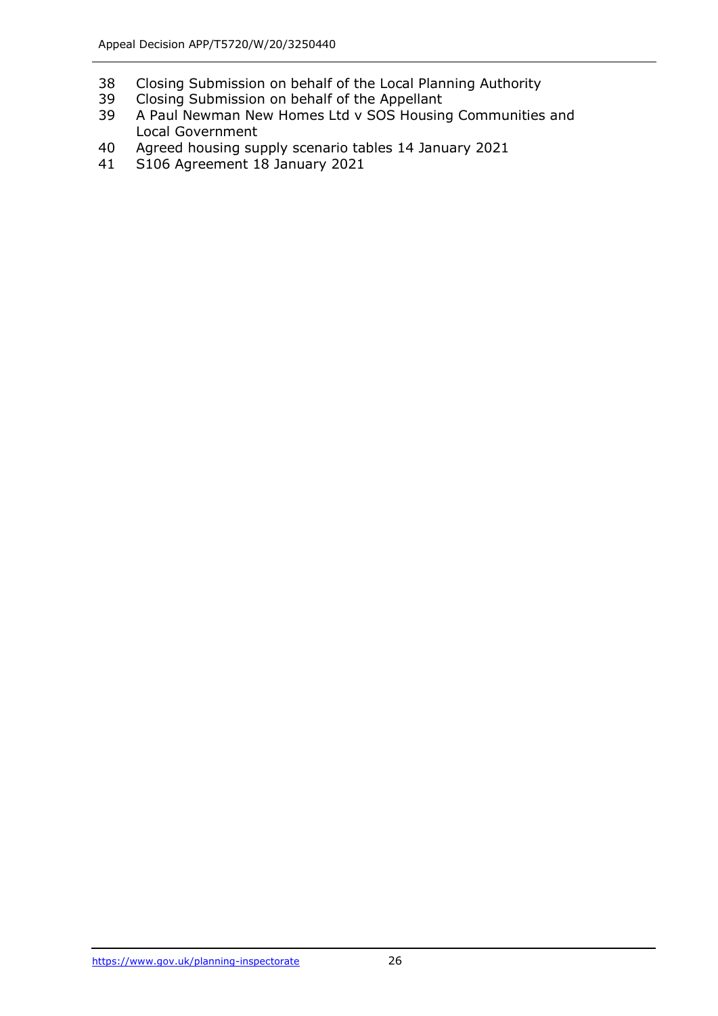- Closing Submission on behalf of the Local Planning Authority
- Closing Submission on behalf of the Appellant
- A Paul Newman New Homes Ltd v SOS Housing Communities and Local Government
- Agreed housing supply scenario tables 14 January 2021
- S106 Agreement 18 January 2021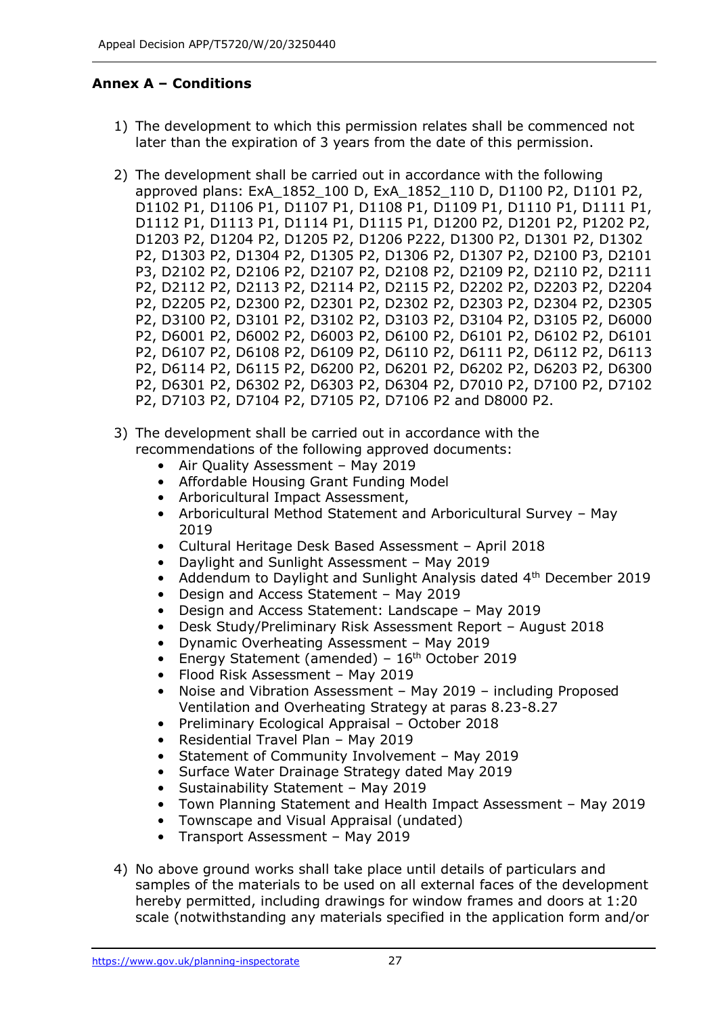## **Annex A – Conditions**

- 1) The development to which this permission relates shall be commenced not later than the expiration of 3 years from the date of this permission.
- 2) The development shall be carried out in accordance with the following approved plans: ExA\_1852\_100 D, ExA\_1852\_110 D, D1100 P2, D1101 P2, D1102 P1, D1106 P1, D1107 P1, D1108 P1, D1109 P1, D1110 P1, D1111 P1, D1112 P1, D1113 P1, D1114 P1, D1115 P1, D1200 P2, D1201 P2, P1202 P2, D1203 P2, D1204 P2, D1205 P2, D1206 P222, D1300 P2, D1301 P2, D1302 P2, D1303 P2, D1304 P2, D1305 P2, D1306 P2, D1307 P2, D2100 P3, D2101 P3, D2102 P2, D2106 P2, D2107 P2, D2108 P2, D2109 P2, D2110 P2, D2111 P2, D2112 P2, D2113 P2, D2114 P2, D2115 P2, D2202 P2, D2203 P2, D2204 P2, D2205 P2, D2300 P2, D2301 P2, D2302 P2, D2303 P2, D2304 P2, D2305 P2, D3100 P2, D3101 P2, D3102 P2, D3103 P2, D3104 P2, D3105 P2, D6000 P2, D6001 P2, D6002 P2, D6003 P2, D6100 P2, D6101 P2, D6102 P2, D6101 P2, D6107 P2, D6108 P2, D6109 P2, D6110 P2, D6111 P2, D6112 P2, D6113 P2, D6114 P2, D6115 P2, D6200 P2, D6201 P2, D6202 P2, D6203 P2, D6300 P2, D6301 P2, D6302 P2, D6303 P2, D6304 P2, D7010 P2, D7100 P2, D7102 P2, D7103 P2, D7104 P2, D7105 P2, D7106 P2 and D8000 P2.
- 3) The development shall be carried out in accordance with the recommendations of the following approved documents:
	- Air Quality Assessment May 2019
	- Affordable Housing Grant Funding Model
	- Arboricultural Impact Assessment,
	- Arboricultural Method Statement and Arboricultural Survey May 2019
	- Cultural Heritage Desk Based Assessment April 2018
	- Daylight and Sunlight Assessment May 2019
	- Addendum to Daylight and Sunlight Analysis dated  $4<sup>th</sup>$  December 2019
	- Design and Access Statement May 2019
	- Design and Access Statement: Landscape May 2019
	- Desk Study/Preliminary Risk Assessment Report August 2018
	- Dynamic Overheating Assessment May 2019
	- Energy Statement (amended)  $16<sup>th</sup>$  October 2019
	- Flood Risk Assessment May 2019
	- Noise and Vibration Assessment May 2019 including Proposed Ventilation and Overheating Strategy at paras 8.23-8.27
	- Preliminary Ecological Appraisal October 2018
	- Residential Travel Plan May 2019
	- Statement of Community Involvement May 2019
	- Surface Water Drainage Strategy dated May 2019
	- Sustainability Statement May 2019
	- Town Planning Statement and Health Impact Assessment May 2019
	- Townscape and Visual Appraisal (undated)
	- Transport Assessment May 2019
- 4) No above ground works shall take place until details of particulars and samples of the materials to be used on all external faces of the development hereby permitted, including drawings for window frames and doors at 1:20 scale (notwithstanding any materials specified in the application form and/or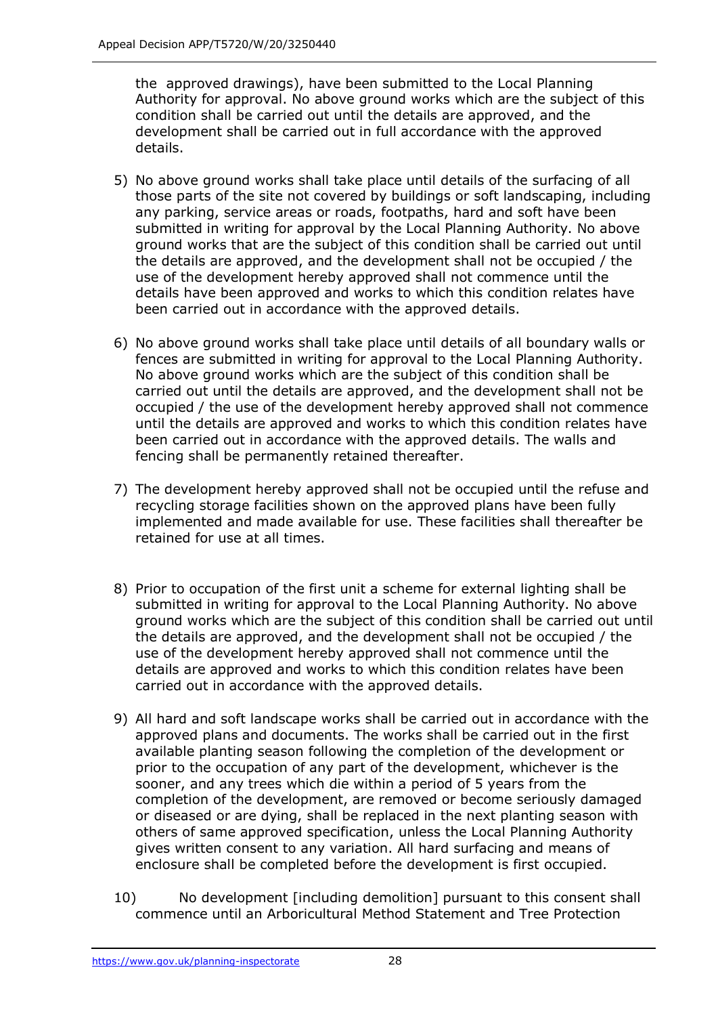the approved drawings), have been submitted to the Local Planning Authority for approval. No above ground works which are the subject of this condition shall be carried out until the details are approved, and the development shall be carried out in full accordance with the approved details.

- 5) No above ground works shall take place until details of the surfacing of all those parts of the site not covered by buildings or soft landscaping, including any parking, service areas or roads, footpaths, hard and soft have been submitted in writing for approval by the Local Planning Authority. No above ground works that are the subject of this condition shall be carried out until the details are approved, and the development shall not be occupied / the use of the development hereby approved shall not commence until the details have been approved and works to which this condition relates have been carried out in accordance with the approved details.
- 6) No above ground works shall take place until details of all boundary walls or fences are submitted in writing for approval to the Local Planning Authority. No above ground works which are the subject of this condition shall be carried out until the details are approved, and the development shall not be occupied / the use of the development hereby approved shall not commence until the details are approved and works to which this condition relates have been carried out in accordance with the approved details. The walls and fencing shall be permanently retained thereafter.
- 7) The development hereby approved shall not be occupied until the refuse and recycling storage facilities shown on the approved plans have been fully implemented and made available for use. These facilities shall thereafter be retained for use at all times.
- 8) Prior to occupation of the first unit a scheme for external lighting shall be submitted in writing for approval to the Local Planning Authority. No above ground works which are the subject of this condition shall be carried out until the details are approved, and the development shall not be occupied / the use of the development hereby approved shall not commence until the details are approved and works to which this condition relates have been carried out in accordance with the approved details.
- 9) All hard and soft landscape works shall be carried out in accordance with the approved plans and documents. The works shall be carried out in the first available planting season following the completion of the development or prior to the occupation of any part of the development, whichever is the sooner, and any trees which die within a period of 5 years from the completion of the development, are removed or become seriously damaged or diseased or are dying, shall be replaced in the next planting season with others of same approved specification, unless the Local Planning Authority gives written consent to any variation. All hard surfacing and means of enclosure shall be completed before the development is first occupied.
- 10) No development [including demolition] pursuant to this consent shall commence until an Arboricultural Method Statement and Tree Protection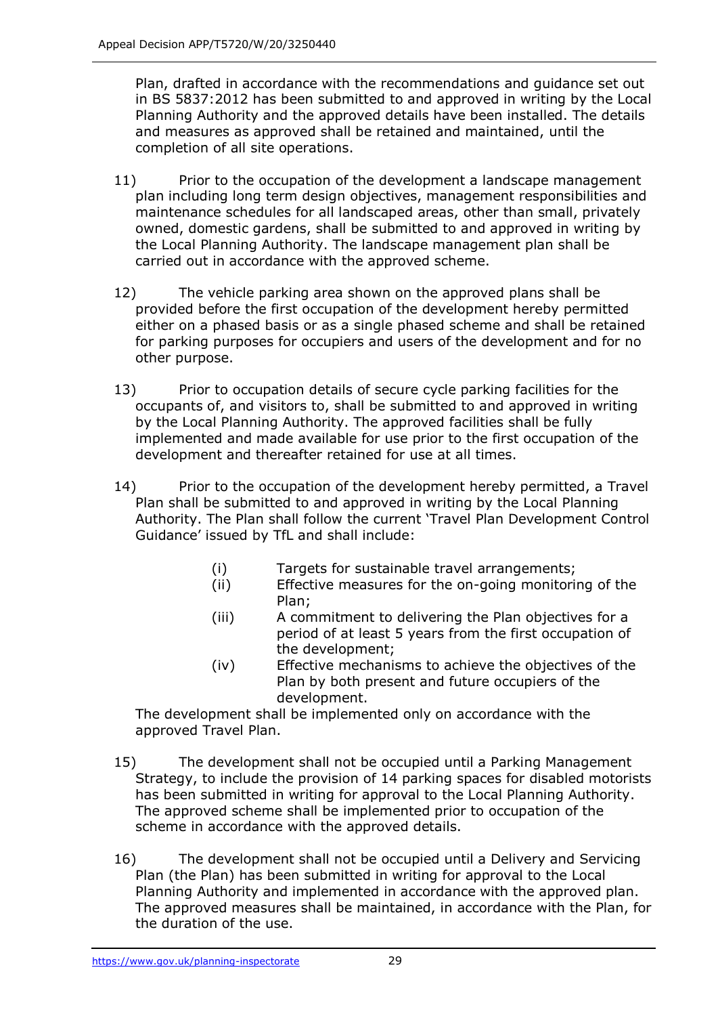Plan, drafted in accordance with the recommendations and guidance set out in BS 5837:2012 has been submitted to and approved in writing by the Local Planning Authority and the approved details have been installed. The details and measures as approved shall be retained and maintained, until the completion of all site operations.

- 11) Prior to the occupation of the development a landscape management plan including long term design objectives, management responsibilities and maintenance schedules for all landscaped areas, other than small, privately owned, domestic gardens, shall be submitted to and approved in writing by the Local Planning Authority. The landscape management plan shall be carried out in accordance with the approved scheme.
- 12) The vehicle parking area shown on the approved plans shall be provided before the first occupation of the development hereby permitted either on a phased basis or as a single phased scheme and shall be retained for parking purposes for occupiers and users of the development and for no other purpose.
- 13) Prior to occupation details of secure cycle parking facilities for the occupants of, and visitors to, shall be submitted to and approved in writing by the Local Planning Authority. The approved facilities shall be fully implemented and made available for use prior to the first occupation of the development and thereafter retained for use at all times.
- 14) Prior to the occupation of the development hereby permitted, a Travel Plan shall be submitted to and approved in writing by the Local Planning Authority. The Plan shall follow the current 'Travel Plan Development Control Guidance' issued by TfL and shall include:
	- (i) Targets for sustainable travel arrangements;
	- (ii) Effective measures for the on-going monitoring of the Plan;
	- (iii) A commitment to delivering the Plan objectives for a period of at least 5 years from the first occupation of the development;
	- (iv) Effective mechanisms to achieve the objectives of the Plan by both present and future occupiers of the development.

The development shall be implemented only on accordance with the approved Travel Plan.

- 15) The development shall not be occupied until a Parking Management Strategy, to include the provision of 14 parking spaces for disabled motorists has been submitted in writing for approval to the Local Planning Authority. The approved scheme shall be implemented prior to occupation of the scheme in accordance with the approved details.
- 16) The development shall not be occupied until a Delivery and Servicing Plan (the Plan) has been submitted in writing for approval to the Local Planning Authority and implemented in accordance with the approved plan. The approved measures shall be maintained, in accordance with the Plan, for the duration of the use.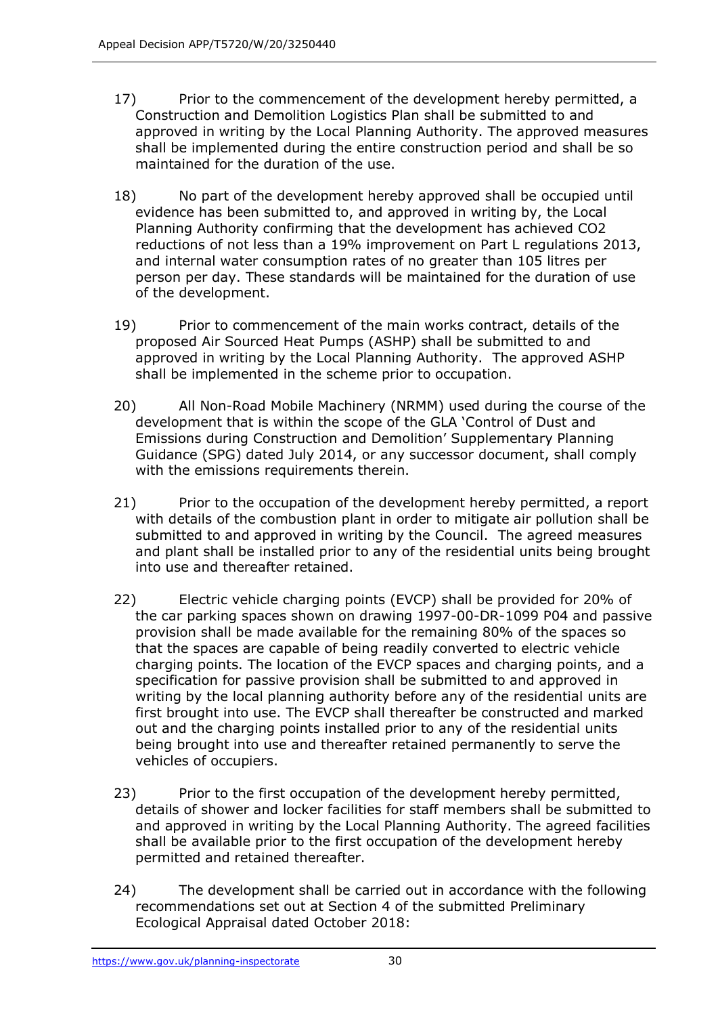- 17) Prior to the commencement of the development hereby permitted, a Construction and Demolition Logistics Plan shall be submitted to and approved in writing by the Local Planning Authority. The approved measures shall be implemented during the entire construction period and shall be so maintained for the duration of the use.
- 18) No part of the development hereby approved shall be occupied until evidence has been submitted to, and approved in writing by, the Local Planning Authority confirming that the development has achieved CO2 reductions of not less than a 19% improvement on Part L regulations 2013, and internal water consumption rates of no greater than 105 litres per person per day. These standards will be maintained for the duration of use of the development.
- 19) Prior to commencement of the main works contract, details of the proposed Air Sourced Heat Pumps (ASHP) shall be submitted to and approved in writing by the Local Planning Authority. The approved ASHP shall be implemented in the scheme prior to occupation.
- 20) All Non-Road Mobile Machinery (NRMM) used during the course of the development that is within the scope of the GLA 'Control of Dust and Emissions during Construction and Demolition' Supplementary Planning Guidance (SPG) dated July 2014, or any successor document, shall comply with the emissions requirements therein.
- 21) Prior to the occupation of the development hereby permitted, a report with details of the combustion plant in order to mitigate air pollution shall be submitted to and approved in writing by the Council. The agreed measures and plant shall be installed prior to any of the residential units being brought into use and thereafter retained.
- 22) Electric vehicle charging points (EVCP) shall be provided for 20% of the car parking spaces shown on drawing 1997-00-DR-1099 P04 and passive provision shall be made available for the remaining 80% of the spaces so that the spaces are capable of being readily converted to electric vehicle charging points. The location of the EVCP spaces and charging points, and a specification for passive provision shall be submitted to and approved in writing by the local planning authority before any of the residential units are first brought into use. The EVCP shall thereafter be constructed and marked out and the charging points installed prior to any of the residential units being brought into use and thereafter retained permanently to serve the vehicles of occupiers.
- 23) Prior to the first occupation of the development hereby permitted, details of shower and locker facilities for staff members shall be submitted to and approved in writing by the Local Planning Authority. The agreed facilities shall be available prior to the first occupation of the development hereby permitted and retained thereafter.
- 24) The development shall be carried out in accordance with the following recommendations set out at Section 4 of the submitted Preliminary Ecological Appraisal dated October 2018: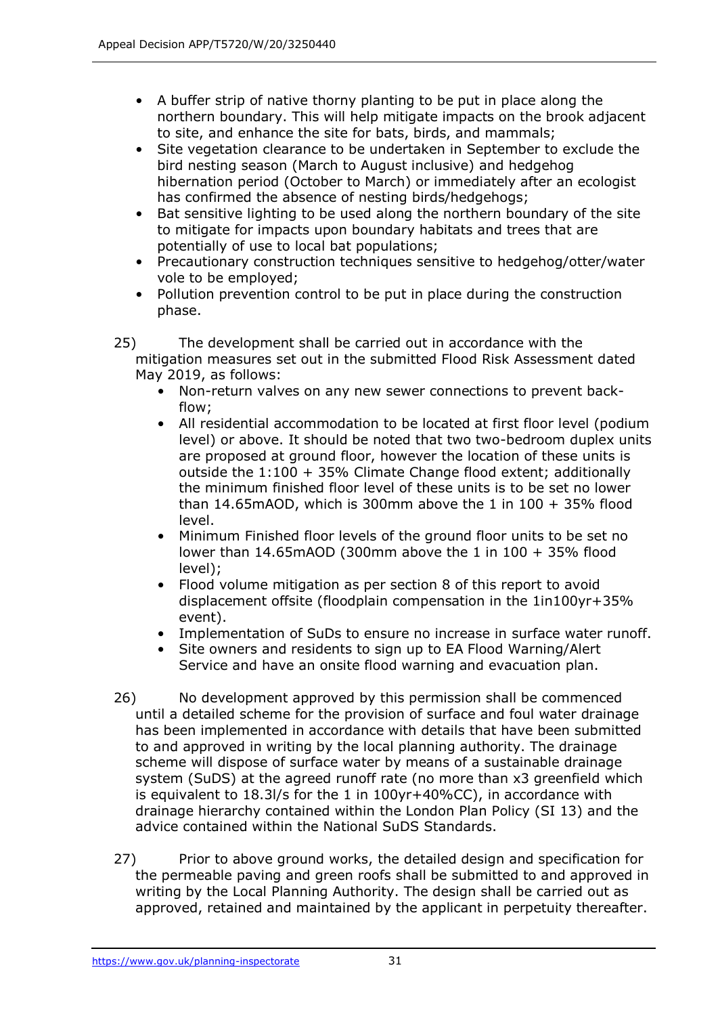- A buffer strip of native thorny planting to be put in place along the northern boundary. This will help mitigate impacts on the brook adjacent to site, and enhance the site for bats, birds, and mammals;
- Site vegetation clearance to be undertaken in September to exclude the bird nesting season (March to August inclusive) and hedgehog hibernation period (October to March) or immediately after an ecologist has confirmed the absence of nesting birds/hedgehogs;
- Bat sensitive lighting to be used along the northern boundary of the site to mitigate for impacts upon boundary habitats and trees that are potentially of use to local bat populations;
- Precautionary construction techniques sensitive to hedgehog/otter/water vole to be employed;
- Pollution prevention control to be put in place during the construction phase.
- 25) The development shall be carried out in accordance with the mitigation measures set out in the submitted Flood Risk Assessment dated May 2019, as follows:
	- Non-return valves on any new sewer connections to prevent backflow;
	- All residential accommodation to be located at first floor level (podium level) or above. It should be noted that two two-bedroom duplex units are proposed at ground floor, however the location of these units is outside the 1:100 + 35% Climate Change flood extent; additionally the minimum finished floor level of these units is to be set no lower than 14.65mAOD, which is 300mm above the 1 in  $100 + 35\%$  flood level.
	- Minimum Finished floor levels of the ground floor units to be set no lower than 14.65mAOD (300mm above the 1 in 100 + 35% flood level);
	- Flood volume mitigation as per section 8 of this report to avoid displacement offsite (floodplain compensation in the 1in100yr+35% event).
	- Implementation of SuDs to ensure no increase in surface water runoff.
	- Site owners and residents to sign up to EA Flood Warning/Alert Service and have an onsite flood warning and evacuation plan.
- 26) No development approved by this permission shall be commenced until a detailed scheme for the provision of surface and foul water drainage has been implemented in accordance with details that have been submitted to and approved in writing by the local planning authority. The drainage scheme will dispose of surface water by means of a sustainable drainage system (SuDS) at the agreed runoff rate (no more than x3 greenfield which is equivalent to 18.3l/s for the 1 in 100yr+40%CC), in accordance with drainage hierarchy contained within the London Plan Policy (SI 13) and the advice contained within the National SuDS Standards.
- 27) Prior to above ground works, the detailed design and specification for the permeable paving and green roofs shall be submitted to and approved in writing by the Local Planning Authority. The design shall be carried out as approved, retained and maintained by the applicant in perpetuity thereafter.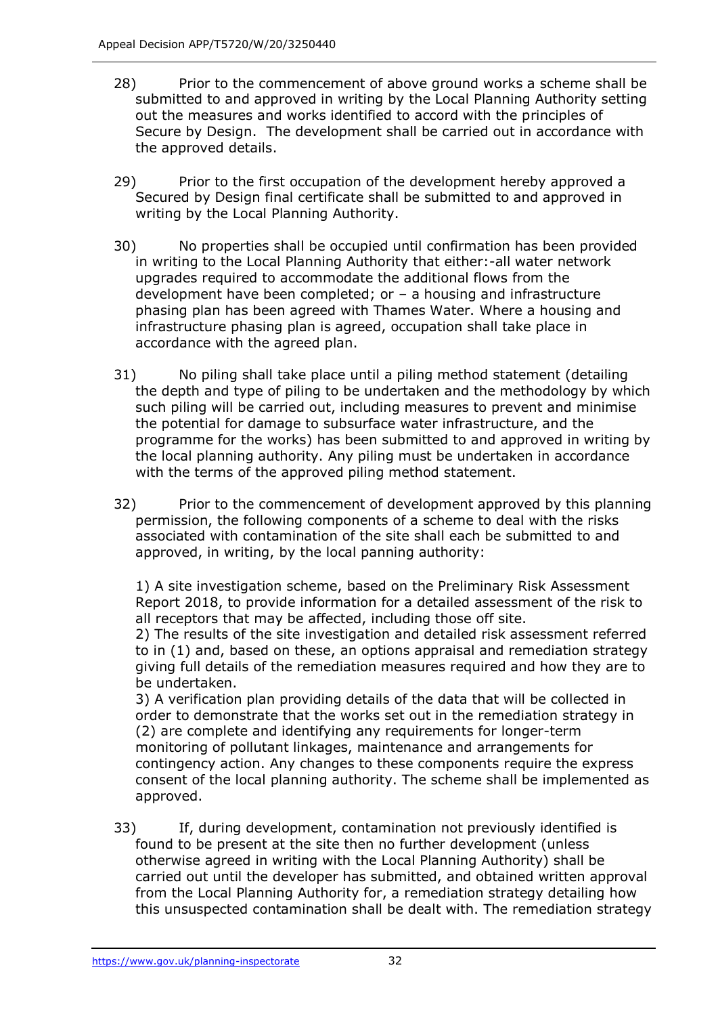- 28) Prior to the commencement of above ground works a scheme shall be submitted to and approved in writing by the Local Planning Authority setting out the measures and works identified to accord with the principles of Secure by Design. The development shall be carried out in accordance with the approved details.
- 29) Prior to the first occupation of the development hereby approved a Secured by Design final certificate shall be submitted to and approved in writing by the Local Planning Authority.
- 30) No properties shall be occupied until confirmation has been provided in writing to the Local Planning Authority that either:-all water network upgrades required to accommodate the additional flows from the development have been completed; or – a housing and infrastructure phasing plan has been agreed with Thames Water. Where a housing and infrastructure phasing plan is agreed, occupation shall take place in accordance with the agreed plan.
- 31) No piling shall take place until a piling method statement (detailing the depth and type of piling to be undertaken and the methodology by which such piling will be carried out, including measures to prevent and minimise the potential for damage to subsurface water infrastructure, and the programme for the works) has been submitted to and approved in writing by the local planning authority. Any piling must be undertaken in accordance with the terms of the approved piling method statement.
- 32) Prior to the commencement of development approved by this planning permission, the following components of a scheme to deal with the risks associated with contamination of the site shall each be submitted to and approved, in writing, by the local panning authority:

1) A site investigation scheme, based on the Preliminary Risk Assessment Report 2018, to provide information for a detailed assessment of the risk to all receptors that may be affected, including those off site.

2) The results of the site investigation and detailed risk assessment referred to in (1) and, based on these, an options appraisal and remediation strategy giving full details of the remediation measures required and how they are to be undertaken.

3) A verification plan providing details of the data that will be collected in order to demonstrate that the works set out in the remediation strategy in (2) are complete and identifying any requirements for longer-term monitoring of pollutant linkages, maintenance and arrangements for contingency action. Any changes to these components require the express consent of the local planning authority. The scheme shall be implemented as approved.

33) If, during development, contamination not previously identified is found to be present at the site then no further development (unless otherwise agreed in writing with the Local Planning Authority) shall be carried out until the developer has submitted, and obtained written approval from the Local Planning Authority for, a remediation strategy detailing how this unsuspected contamination shall be dealt with. The remediation strategy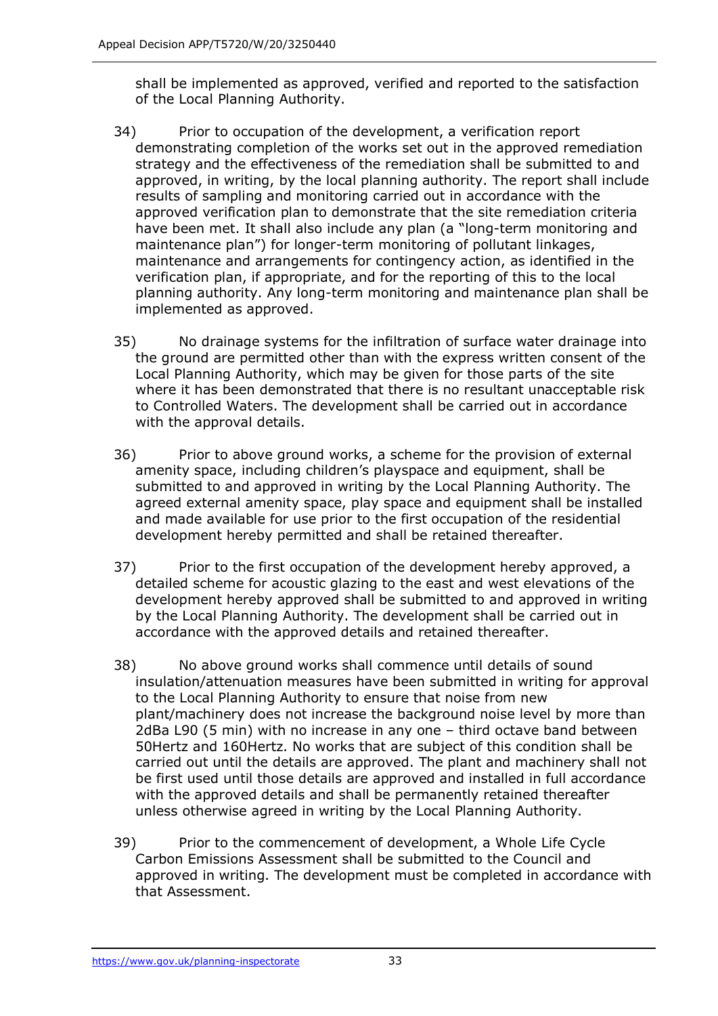shall be implemented as approved, verified and reported to the satisfaction of the Local Planning Authority.

- 34) Prior to occupation of the development, a verification report demonstrating completion of the works set out in the approved remediation strategy and the effectiveness of the remediation shall be submitted to and approved, in writing, by the local planning authority. The report shall include results of sampling and monitoring carried out in accordance with the approved verification plan to demonstrate that the site remediation criteria have been met. It shall also include any plan (a "long-term monitoring and maintenance plan") for longer-term monitoring of pollutant linkages, maintenance and arrangements for contingency action, as identified in the verification plan, if appropriate, and for the reporting of this to the local planning authority. Any long-term monitoring and maintenance plan shall be implemented as approved.
- 35) No drainage systems for the infiltration of surface water drainage into the ground are permitted other than with the express written consent of the Local Planning Authority, which may be given for those parts of the site where it has been demonstrated that there is no resultant unacceptable risk to Controlled Waters. The development shall be carried out in accordance with the approval details.
- 36) Prior to above ground works, a scheme for the provision of external amenity space, including children's playspace and equipment, shall be submitted to and approved in writing by the Local Planning Authority. The agreed external amenity space, play space and equipment shall be installed and made available for use prior to the first occupation of the residential development hereby permitted and shall be retained thereafter.
- 37) Prior to the first occupation of the development hereby approved, a detailed scheme for acoustic glazing to the east and west elevations of the development hereby approved shall be submitted to and approved in writing by the Local Planning Authority. The development shall be carried out in accordance with the approved details and retained thereafter.
- 38) No above ground works shall commence until details of sound insulation/attenuation measures have been submitted in writing for approval to the Local Planning Authority to ensure that noise from new plant/machinery does not increase the background noise level by more than 2dBa L90 (5 min) with no increase in any one – third octave band between 50Hertz and 160Hertz. No works that are subject of this condition shall be carried out until the details are approved. The plant and machinery shall not be first used until those details are approved and installed in full accordance with the approved details and shall be permanently retained thereafter unless otherwise agreed in writing by the Local Planning Authority.
- 39) Prior to the commencement of development, a Whole Life Cycle Carbon Emissions Assessment shall be submitted to the Council and approved in writing. The development must be completed in accordance with that Assessment.